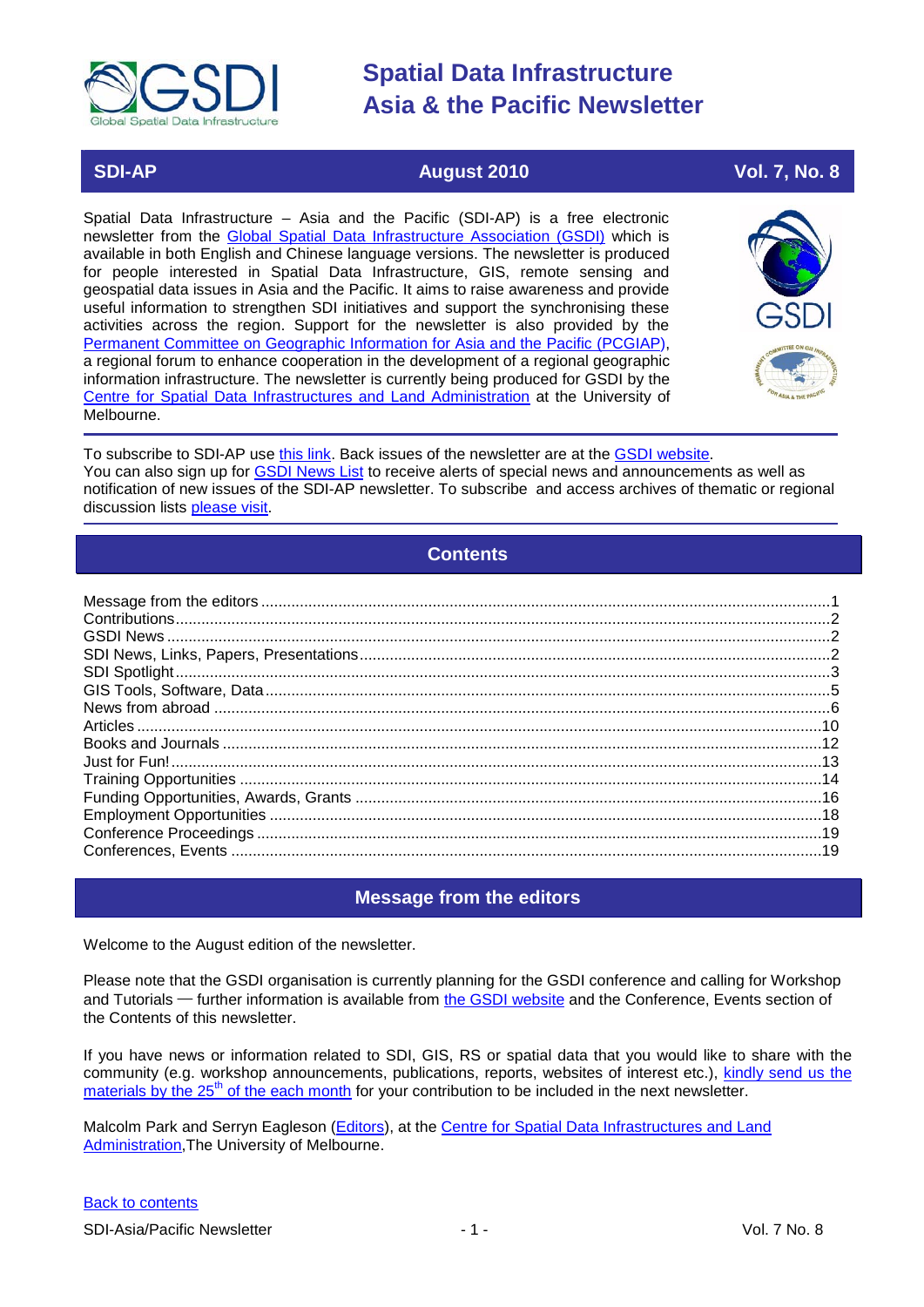

### **SDI-AP August 2010 Vol. 7, No. 8**

Spatial Data Infrastructure – Asia and the Pacific (SDI-AP) is a free electronic newsletter from the [Global Spatial Data Infrastructure Association \(GSDI\)](http://www.gsdi.org/) which is available in both English and Chinese language versions. The newsletter is produced for people interested in Spatial Data Infrastructure, GIS, remote sensing and geospatial data issues in Asia and the Pacific. It aims to raise awareness and provide useful information to strengthen SDI initiatives and support the synchronising these activities across the region. Support for the newsletter is also provided by the [Permanent Committee on Geographic Information for Asia and the Pacific \(PCGIAP\)](http://www.pcgiap.org/), a regional forum to enhance cooperation in the development of a regional geographic information infrastructure. The newsletter is currently being produced for GSDI by the Centre [for Spatial Data Infrastructures and Land Administration](http://www.csdila.unimelb.edu.au/) at the University of Melbourne.



To subscribe to SDI-AP use [this link.](http://www.gsdi.org/newslist/gsdisubscribe.asp) Back issues of the newsletter are at the [GSDI website.](http://www.gsdi.org/newsletters.asp) You can also sign up for **GSDI News List** to receive alerts of special news and announcements as well as notification of new issues of the SDI-AP newsletter. To subscribe and access archives of thematic or regional discussion lists [please visit.](http://www.gsdi.org/discussionlists.asp)

### **Contents**

<span id="page-0-0"></span>

### **Message from the editors**

<span id="page-0-1"></span>Welcome to the August edition of the newsletter.

Please note that the GSDI organisation is currently planning for the GSDI conference and calling for Workshop and Tutorials — further information is available from [the GSDI website](http://www.gsdi.org/node/246) and the Conference, Events section of the Contents of this newsletter.

If you have news or information related to SDI, GIS, RS or spatial data that you would like to share with the community (e.g. workshop announcements, publications, reports, websites of interest etc.), [kindly send us](mailto:sdi-ap@gsdi.org) the materials by the  $25<sup>th</sup>$  of the each month for your contribution to be included in the next newsletter.

Malcolm Park and Serryn Eagleson [\(Editors\)](mailto:Editor.SDIAP@gmail.com), at the [Centre for Spatial Data Infrastructures and Land](http://www.csdila.unimelb.edu.au/)  [Administration,](http://www.csdila.unimelb.edu.au/)The University of Melbourne.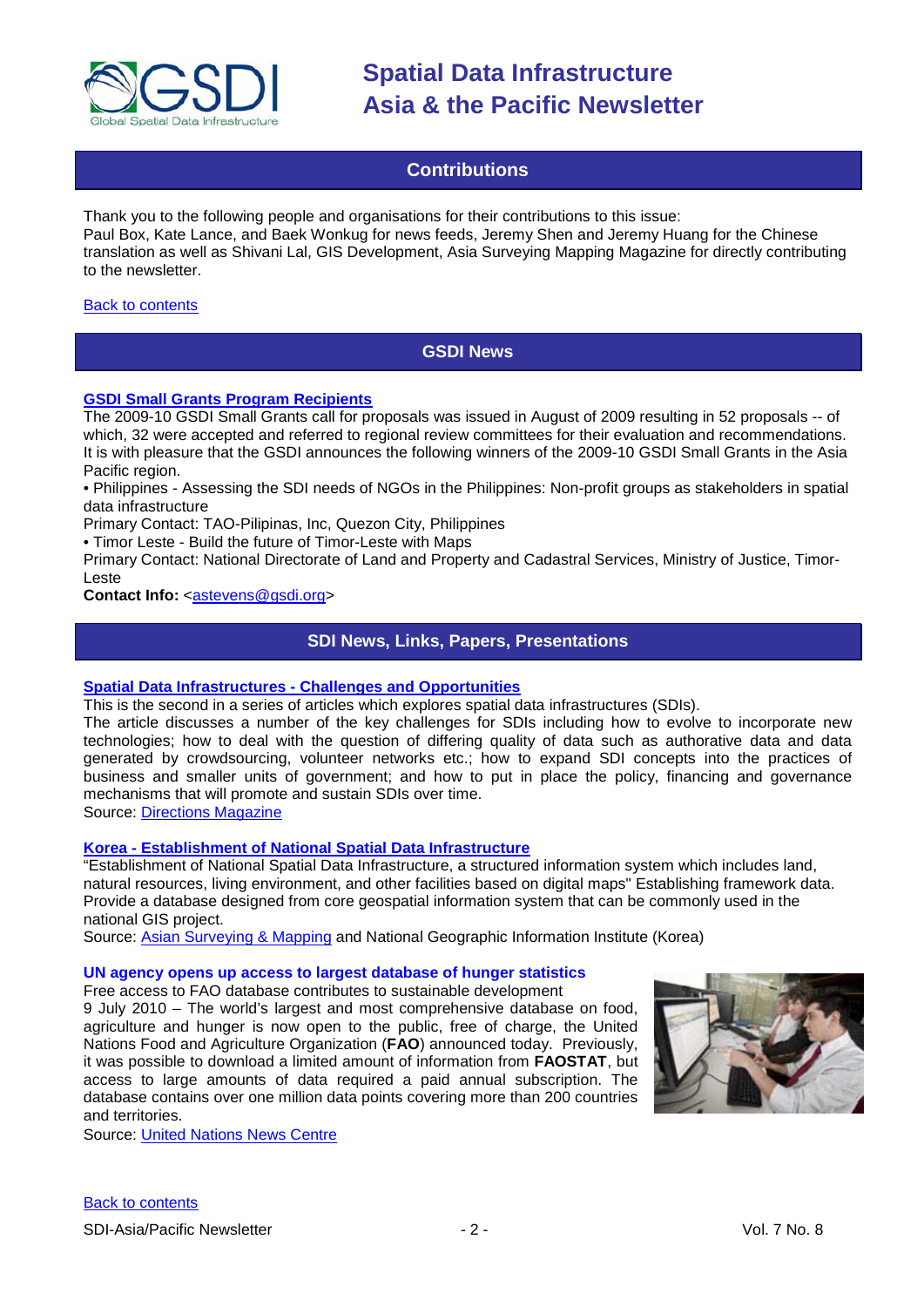

### **Contributions**

<span id="page-1-0"></span>Thank you to the following people and organisations for their contributions to this issue: Paul Box, Kate Lance, and Baek Wonkug for news feeds, Jeremy Shen and Jeremy Huang for the Chinese translation as well as Shivani Lal, GIS Development, Asia Surveying Mapping Magazine for directly contributing to the newsletter.

#### <span id="page-1-1"></span>[Back to contents](#page-0-0)

### **GSDI News**

#### **[GSDI Small Grants Program Recipients](http://www.gsdi.org/node/268)**

The 2009-10 GSDI Small Grants call for proposals was issued in August of 2009 resulting in 52 proposals -- of which, 32 were accepted and referred to regional review committees for their evaluation and recommendations. It is with pleasure that the GSDI announces the following winners of the 2009-10 GSDI Small Grants in the Asia Pacific region.

• Philippines - Assessing the SDI needs of NGOs in the Philippines: Non-profit groups as stakeholders in spatial data infrastructure

Primary Contact: TAO-Pilipinas, Inc, Quezon City, Philippines

• Timor Leste - Build the future of Timor-Leste with Maps

Primary Contact: National Directorate of Land and Property and Cadastral Services, Ministry of Justice, Timor-Leste

#### <span id="page-1-2"></span>**Contact Info: [<astevens@gsdi.org>](mailto:astevens@gsdi.org)**

### **SDI News, Links, Papers, Presentations**

#### **Spatial Data Infrastructures - [Challenges and Opportunities](http://www.directionsmag.com/article.php?article_id=3555)**

This is the second in a series of articles which explores spatial data infrastructures (SDIs).

The article discusses a number of the key challenges for SDIs including how to evolve to incorporate new technologies; how to deal with the question of differing quality of data such as authorative data and data generated by crowdsourcing, volunteer networks etc.; how to expand SDI concepts into the practices of business and smaller units of government; and how to put in place the policy, financing and governance mechanisms that will promote and sustain SDIs over time.

[Source: Directions Magazine](http://www.directionsmag.com/article.php?article_id=3555)

#### **Korea - [Establishment of National Spatial Data Infrastructure](http://www.ngi.go.kr/eng/project/geodesy0202.do)**

"Establishment of National Spatial Data Infrastructure, a structured information system which includes land, natural resources, living environment, and other facilities based on digital maps" Establishing framework data. Provide a database designed from core geospatial information system that can be commonly used in the national GIS project.

Source: [Asian Surveying & Mapping](http://asmmag.com/news/korea-establishment-of-national-spatial-data-infrastructure) and National Geographic Information Institute (Korea)

#### **UN agency opens up access to largest database of hunger statistics**

Free access to FAO database contributes to sustainable development

9 July 2010 – The world's largest and most comprehensive database on food, agriculture and hunger is now open to the public, free of charge, the United Nations Food and Agriculture Organization (**[FAO](http://www.fao.org/)**) announced today. Previously, it was possible to download a limited amount of information from **[FAOSTAT](http://faostat.fao.org/)**, but access to large amounts of data required a paid annual subscription. The database contains over one million data points covering more than 200 countries and territories.

Source: [United Nations News Centre](http://www.un.org/apps/news/story.asp?NewsID=35281&Cr=hung&Cr1=)

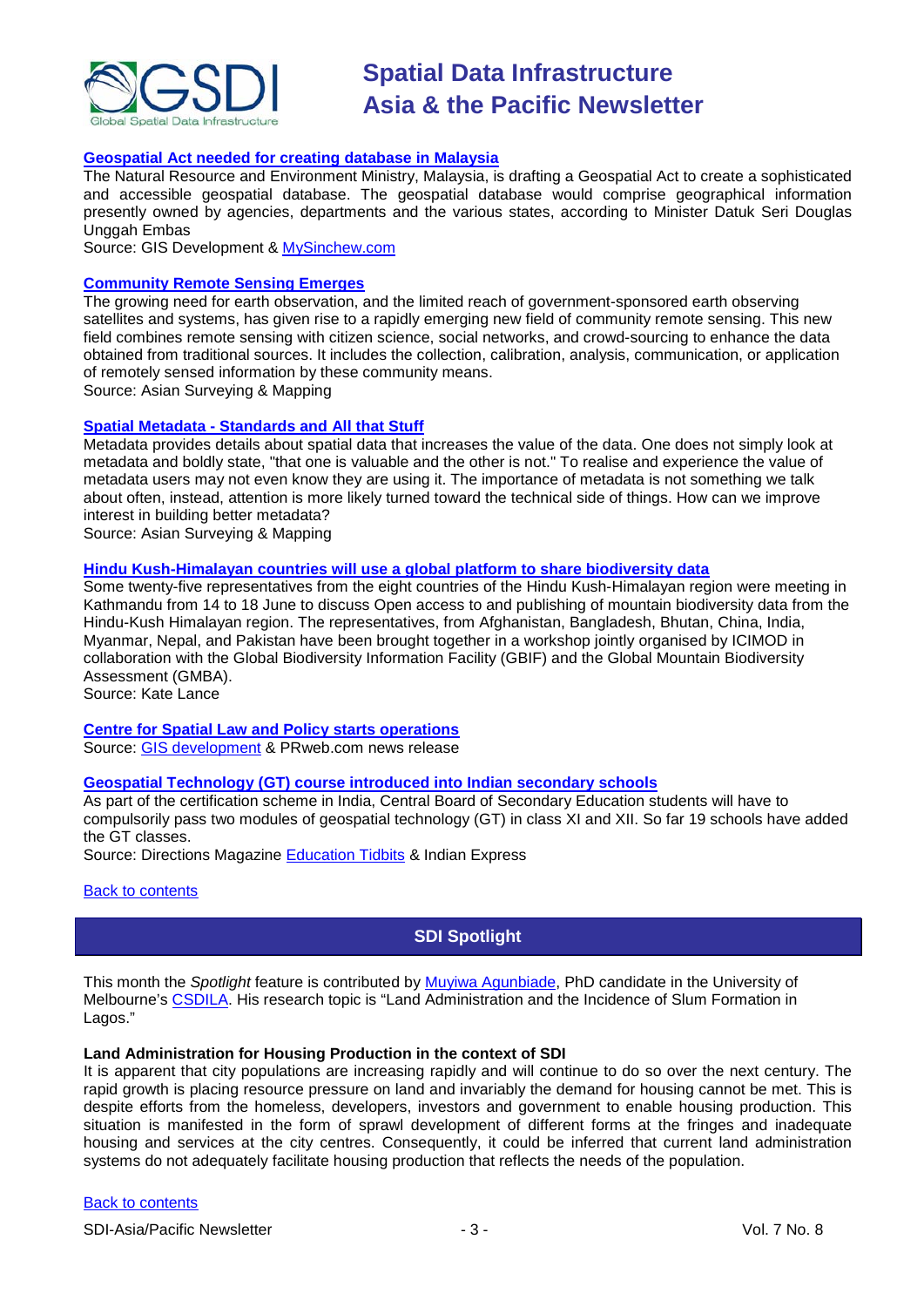

#### **[Geospatial Act needed for creating database in Malaysia](http://beta.gisdevelopment.net/index.php?option=com_content&view=article&id=17865%3Ageospatial-act-for-creating-database-in-malaysia&catid=78%3Amiscellaneous-policy&Itemid=1)**

The Natural Resource and Environment Ministry, Malaysia, is drafting a Geospatial Act to create a sophisticated and accessible geospatial database. The geospatial database would comprise geographical information presently owned by agencies, departments and the various states, according to Minister Datuk Seri Douglas Unggah Embas

Source: GIS Development & [MySinchew.com](http://www.mysinchew.com/node/40995)

#### **[Community Remote Sensing Emerges](http://asmmag.com/features/community-remote-sensing-emerges)**

The growing need for earth observation, and the limited reach of government-sponsored earth observing satellites and systems, has given rise to a rapidly emerging new field of community remote sensing. This new field combines remote sensing with citizen science, social networks, and crowd-sourcing to enhance the data obtained from traditional sources. It includes the collection, calibration, analysis, communication, or application of remotely sensed information by these community means.

Source: Asian Surveying & Mapping

#### **Spatial Metadata - [Standards and All that Stuff](http://asmmag.com/news/spatial-metadata-standards-and-all-the-stuff)**

Metadata provides details about spatial data that increases the value of the data. One does not simply look at metadata and boldly state, "that one is valuable and the other is not." To realise and experience the value of metadata users may not even know they are using it. The importance of metadata is not something we talk about often, instead, attention is more likely turned toward the technical side of things. How can we improve interest in building better metadata?

Source: Asian Surveying & Mapping

#### **[Hindu Kush-Himalayan countries will use a global platform to share biodiversity data](http://www.icimod.org/?page=1146)**

Some twenty-five representatives from the eight countries of the Hindu Kush-Himalayan region were meeting in Kathmandu from 14 to 18 June to discuss Open access to and publishing of mountain biodiversity data from the Hindu-Kush Himalayan region. The representatives, from Afghanistan, Bangladesh, Bhutan, China, India, Myanmar, Nepal, and Pakistan have been brought together in a workshop jointly organised by ICIMOD in collaboration with the Global Biodiversity Information Facility (GBIF) and the Global Mountain Biodiversity Assessment (GMBA).

Source: Kate Lance

#### **[Centre for Spatial Law and Policy starts operations](http://www.prweb.com/releases/2010/06/prweb4189194.htm)**

Source: [GIS development](http://beta.gisdevelopment.net/index.php?option=com_content&view=article&id=17866%3Acentre-for-spatial-law-and-policy-starts-operations&catid=78%3Amiscellaneous-policy&Itemid=1) & PRweb.com news release

#### **[Geospatial Technology \(GT\) course introduced into Indian secondary schools](http://www.indianexpress.com/news/Sibal-bats-for-democracy-in-classrooms/648753)**

As part of the certification scheme in India, Central Board of Secondary Education students will have to compulsorily pass two modules of geospatial technology (GT) in class XI and XII. So far 19 schools have added the GT classes.

Source: Directions Magazine [Education Tidbits](http://apb.directionsmag.com/archives/8303-Education-Tidbits.html) & Indian Express

#### <span id="page-2-0"></span>**[Back to contents](#page-0-0)**

### **SDI Spotlight**

This month the *Spotlight* feature is contributed by [Muyiwa Agunbiade,](http://www.csdila.unimelb.edu.au/people/rteam/Muyiwa.html) PhD candidate in the University of Melbourne's [CSDILA.](http://www.csdila.unimelb.edu.au/) His research topic is "Land Administration and the Incidence of Slum Formation in Lagos."

#### **Land Administration for Housing Production in the context of SDI**

It is apparent that city populations are increasing rapidly and will continue to do so over the next century. The rapid growth is placing resource pressure on land and invariably the demand for housing cannot be met. This is despite efforts from the homeless, developers, investors and government to enable housing production. This situation is manifested in the form of sprawl development of different forms at the fringes and inadequate housing and services at the city centres. Consequently, it could be inferred that current land administration systems do not adequately facilitate housing production that reflects the needs of the population.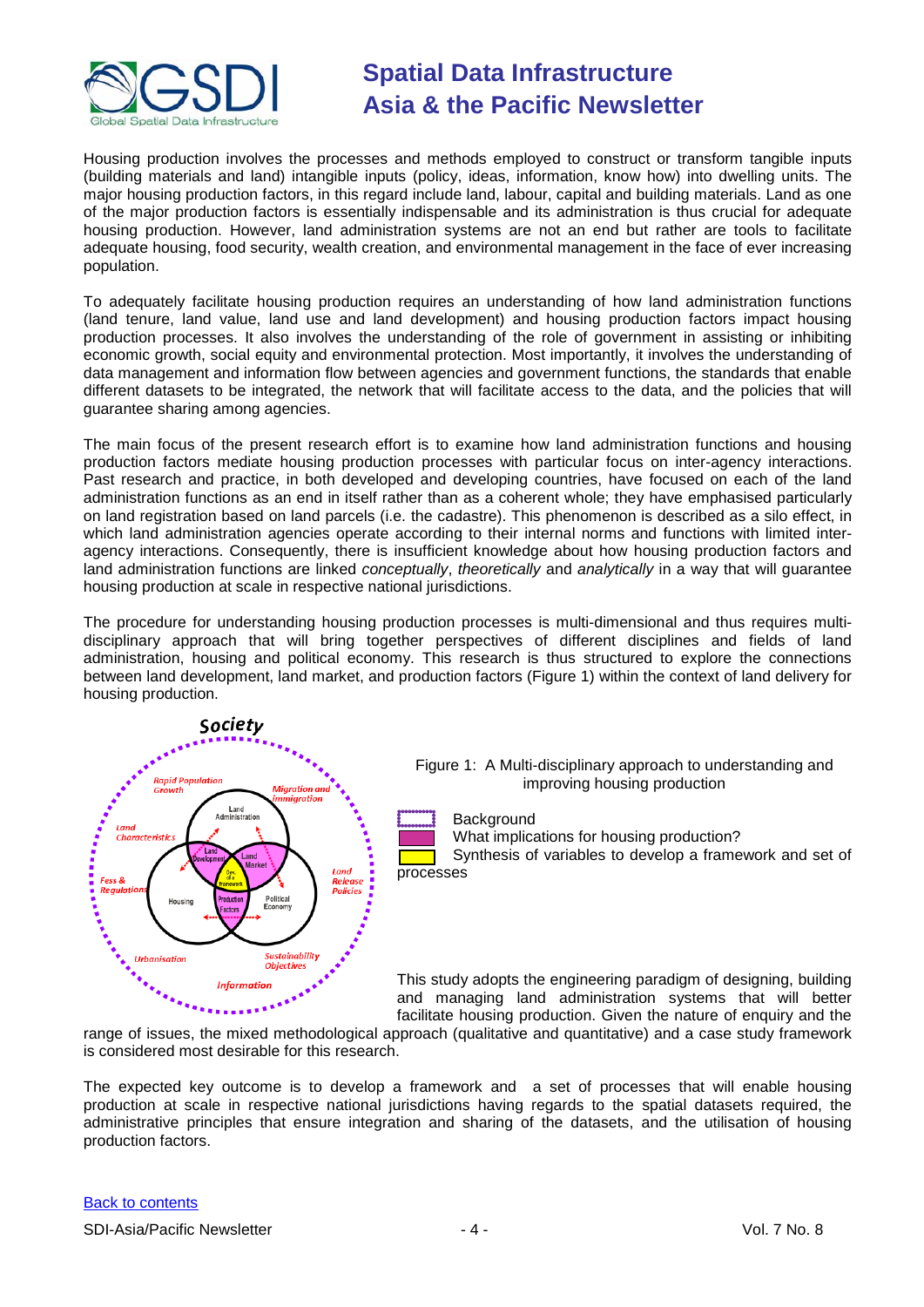

Housing production involves the processes and [methods](http://www.businessdictionary.com/definition/method.html) employed to construct or [transform](http://www.businessdictionary.com/definition/transformation.html) [tangible](http://www.businessdictionary.com/definition/tangible.html) [inputs](http://www.businessdictionary.com/definition/inputs.html) (building materials and land) [intangible](http://www.businessdictionary.com/definition/intangible.html) inputs (policy, [ideas,](http://www.businessdictionary.com/definition/idea.html) [information,](http://www.businessdictionary.com/definition/information.html) [know how\)](http://www.businessdictionary.com/definition/know-how.html) into dwelling units. The major housing production factors, in this regard include land, labour, capital and building materials. Land as one of the major production factors is essentially indispensable and its administration is thus crucial for adequate housing production. However, land administration systems are not an end but rather are tools to facilitate adequate housing, food security, wealth creation, and environmental management in the face of ever increasing population.

To adequately facilitate housing production requires an understanding of how land administration functions (land tenure, land value, land use and land development) and housing production factors impact housing production processes. It also involves the understanding of the role of government in assisting or inhibiting economic growth, social equity and environmental protection. Most importantly, it involves the understanding of data management and information flow between agencies and government functions, the standards that enable different datasets to be integrated, the network that will facilitate access to the data, and the policies that will guarantee sharing among agencies.

The main focus of the present research effort is to examine how land administration functions and housing production factors mediate housing production processes with particular focus on inter-agency interactions. Past research and practice, in both developed and developing countries, have focused on each of the land administration functions as an end in itself rather than as a coherent whole; they have emphasised particularly on land registration based on land parcels (i.e. the cadastre). This phenomenon is described as a silo effect, in which land administration agencies operate according to their internal norms and functions with limited interagency interactions. Consequently, there is insufficient knowledge about how housing production factors and land administration functions are linked *conceptually*, *theoretically* and *analytically* in a way that will guarantee housing production at scale in respective national jurisdictions.

The procedure for understanding housing production processes is multi-dimensional and thus requires multidisciplinary approach that will bring together perspectives of different disciplines and fields of land administration, housing and political economy. This research is thus structured to explore the connections between land development, land market, and production factors (Figure 1) within the context of land delivery for housing production.

**Background** 





What implications for housing production?

Synthesis of variables to develop a framework and set of processes

This study adopts the engineering paradigm of designing, building and managing land administration systems that will better facilitate housing production. Given the nature of enquiry and the

range of issues, the mixed methodological approach (qualitative and quantitative) and a case study framework is considered most desirable for this research.

The expected key outcome is to develop a framework and a set of processes that will enable housing production at scale in respective national jurisdictions having regards to the spatial datasets required, the administrative principles that ensure integration and sharing of the datasets, and the utilisation of housing production factors.

#### [Back to contents](#page-0-0)

SDI-Asia/Pacific Newsletter  $\overline{a}$  - 4 -  $\overline{a}$  - Vol. 7 No. 8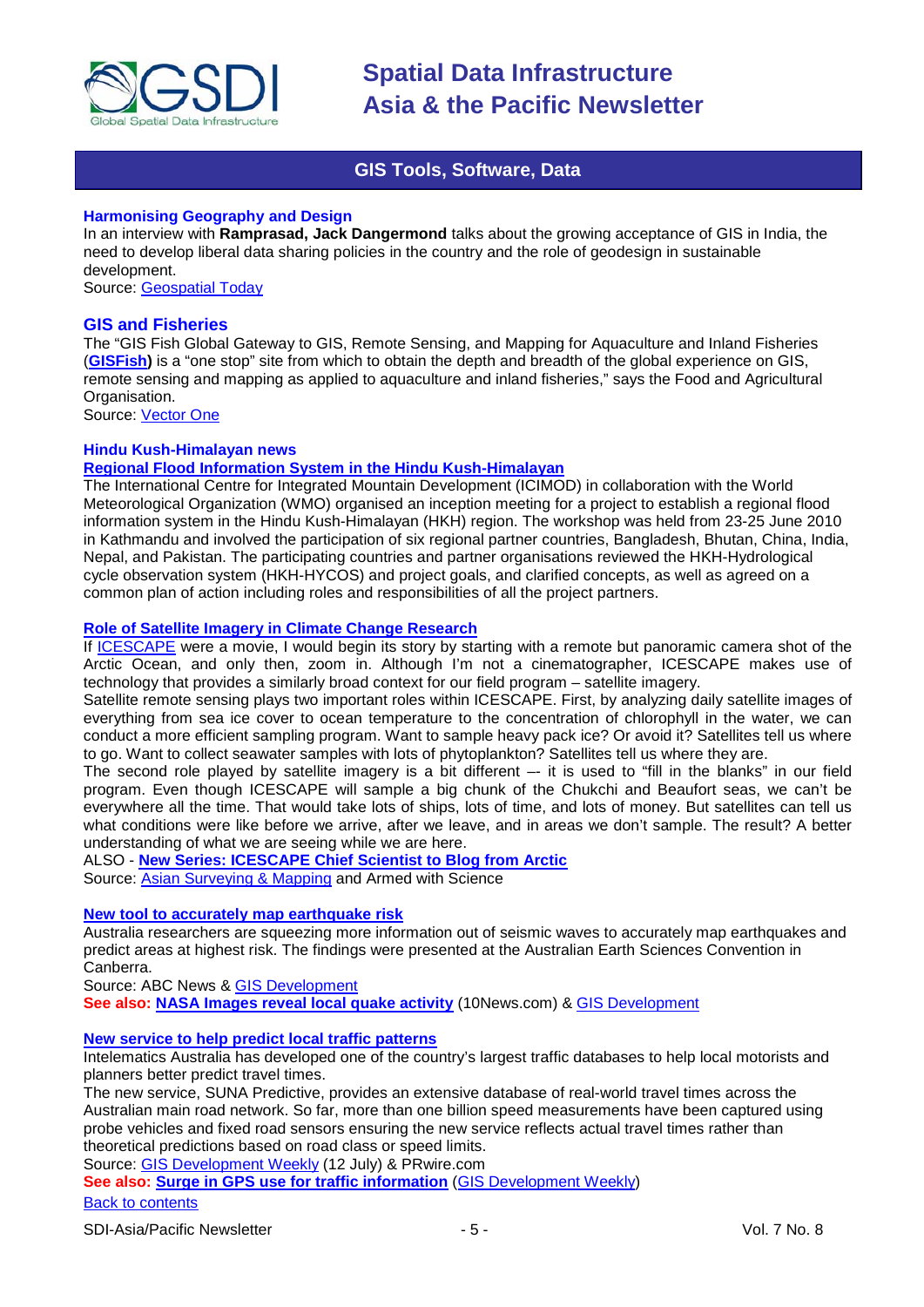

### **GIS Tools, Software, Data**

#### <span id="page-4-0"></span>**Harmonising Geography and Design**

In an interview with **Ramprasad, Jack Dangermond** talks about the growing acceptance of GIS in India, the need to develop liberal data sharing policies in the country and the role of geodesign in sustainable development.

Source: [Geospatial Today](http://geospatialtoday.com/gst/index.php?option=com_content&view=article&id=720)

#### **GIS and Fisheries**

The "GIS Fish Global Gateway to GIS, Remote Sensing, and Mapping for Aquaculture and Inland Fisheries (**[GISFish\)](http://www.fao.org/fishery/collection/gisfish/en)** is a "one stop" site from which to obtain the depth and breadth of the global experience on GIS, remote sensing and mapping as applied to aquaculture and inland fisheries," says the Food and Agricultural Organisation.

Source: [Vector One](http://www.vector1media.com/vectorone/?author=1)

#### **Hindu Kush-Himalayan news**

#### **[Regional Flood Information System in the Hindu Kush-Himalayan](http://www.icimod.org/?page=1166)**

The International Centre for Integrated Mountain Development (ICIMOD) in collaboration with the World Meteorological Organization (WMO) organised an inception meeting for a project to establish a regional flood information system in the Hindu Kush-Himalayan (HKH) region. The workshop was held from 23-25 June 2010 in Kathmandu and involved the participation of six regional partner countries, Bangladesh, Bhutan, China, India, Nepal, and Pakistan. The participating countries and partner organisations reviewed the HKH-Hydrological cycle observation system (HKH-HYCOS) and project goals, and clarified concepts, as well as agreed on a common plan of action including roles and responsibilities of all the project partners.

#### **[Role of Satellite Imagery in Climate Change Research](http://science.dodlive.mil/tag/uscg/)**

If [ICESCAPE](http://www.espo.nasa.gov/icescape/) were a movie, I would begin its story by starting with a remote but panoramic camera shot of the Arctic Ocean, and only then, zoom in. Although I'm not a cinematographer, ICESCAPE makes use of technology that provides a similarly broad context for our field program – satellite imagery.

Satellite remote sensing plays two important roles within ICESCAPE. First, by analyzing daily satellite images of everything from sea ice cover to ocean temperature to the concentration of chlorophyll in the water, we can conduct a more efficient sampling program. Want to sample heavy pack ice? Or avoid it? Satellites tell us where to go. Want to collect seawater samples with lots of phytoplankton? Satellites tell us where they are.

The second role played by satellite imagery is a bit different –- it is used to "fill in the blanks" in our field program. Even though ICESCAPE will sample a big chunk of the Chukchi and Beaufort seas, we can't be everywhere all the time. That would take lots of ships, lots of time, and lots of money. But satellites can tell us what conditions were like before we arrive, after we leave, and in areas we don't sample. The result? A better understanding of what we are seeing while we are here.

ALSO - **[New Series: ICESCAPE Chief Scientist to Blog from Arctic](http://science.dodlive.mil/2010/07/09/new-series-icescape-chief-scientist-to-blog-from-arctic/)**

Source: [Asian Surveying & Mapping](http://asmmag.com/news/role-of-satellite-imagery-in-climate-change-research-) and Armed with Science

#### **[New tool to accurately map earthquake risk](http://www.abc.net.au/news/stories/2010/07/05/2945230.htm?section=justin)**

Australia researchers are squeezing more information out of seismic waves to accurately map earthquakes and predict areas at highest risk. The findings were presented at the Australian Earth Sciences Convention in Canberra.

Source: ABC News & [GIS Development](http://beta.gisdevelopment.net/index.php?option=com_content&view=article&id=17905%3Anew-tool-to-accurately-map-earthquake-risk&catid=67%3Abusiness-general&Itemid=1)

**See also: [NASA Images reveal local quake activity](http://www.10news.com/news/24191522/detail.html)** (10News.com) & [GIS Development](http://beta.gisdevelopment.net/index.php?option=com_content&view=article&id=17943%3Anasa-images-reveal-local-quake-activity&catid=53%3Aapplication-natural-hazard-management&Itemid=1)

#### **[New service to help predict local traffic patterns](http://www.prwire.com.au/pr/18444/predicting-traffic-congestion-has-never-been-so-easy)**

Intelematics Australia has developed one of the country's largest traffic databases to help local motorists and planners better predict travel times.

The new service, SUNA Predictive, provides an extensive database of real-world travel times across the Australian main road network. So far, more than one billion speed measurements have been captured using probe vehicles and fixed road sensors ensuring the new service reflects actual travel times rather than theoretical predictions based on road class or speed limits.

Source: [GIS Development Weekly](http://beta.gisdevelopment.net/index.php?option=com_content&view=article&id=17908%3Anew-service-to-help-predict-local-traffic-patterns&catid=61%3Aapplication-transportation-navigation&Itemid=1) (12 July) & PRwire.com

**See also: [Surge in GPS use for traffic information](http://www.abiresearch.com/press/1685-Global+Number+of+Traffic+Information+Users+to+Exceed+370+Million+by+2015)** [\(GIS Development Weekly\)](http://beta.gisdevelopment.net/index.php?option=com_content&view=article&id=17923%3Asurge-in-gps-use-for-traffic-information&catid=72%3Abusiness-market-survey-research&Itemid=1)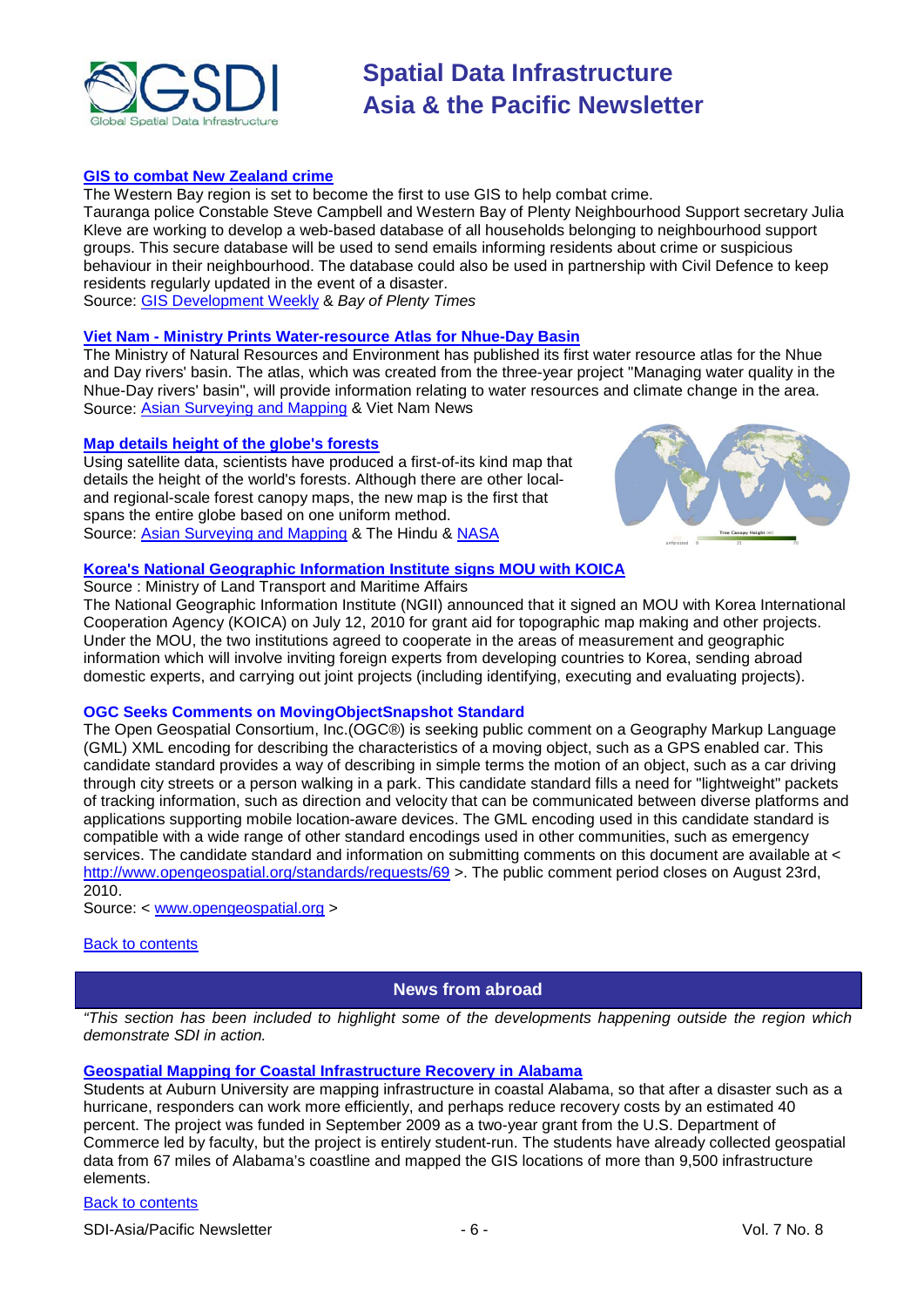

#### **[GIS to combat New Zealand crime](http://www.bayofplentytimes.co.nz/local/news/crime-database-will-help-put-neighbourhood-support/3916754/)**

The Western Bay region is set to become the first to use GIS to help combat crime.

Tauranga police Constable Steve Campbell and Western Bay of Plenty Neighbourhood Support secretary Julia Kleve are working to develop a web-based database of all households belonging to neighbourhood support groups. This secure database will be used to send emails informing residents about crime or suspicious behaviour in their neighbourhood. The database could also be used in partnership with Civil Defence to keep residents regularly updated in the event of a disaster.

Source: [GIS Development Weekly](http://beta.gisdevelopment.net/index.php?option=com_content&view=article&id=17925%3Agis-to-combat-crime&catid=62%3Aapplication-e-governance&Itemid=1) & *Bay of Plenty Times*

### **Viet Nam - [Ministry Prints Water-resource Atlas for Nhue-Day Basin](http://vietnamnews.vnagency.com.vn/Environment/201395/Ministry-prints-water-resource-atlas-for-Nhue-Day-basin.html)**

The Ministry of Natural Resources and Environment has published its first water resource atlas for the Nhue and Day rivers' basin. The atlas, which was created from the three-year project "Managing water quality in the Nhue-Day rivers' basin", will provide information relating to water resources and climate change in the area. Source: [Asian Surveying and Mapping](http://asmmag.com/news/ministry-prints-water-resource-atlas-for-nhue-day-basin) & Viet Nam News

#### **[Map details height of the globe's forests](http://www.thehindu.com/sci-tech/technology/article526939.ece)**

Using satellite data, scientists have produced a first-of-its kind map that details the height of the world's forests. Although there are other localand regional-scale forest canopy maps, the new map is the first that spans the entire globe based on one uniform method. Source: [Asian Surveying and Mapping](http://asmmag.com/news/map-details-height-of-the-globe-s-forests) & The Hindu & [NASA](http://www.nasa.gov/topics/earth/features/forest-height-map.html)



### **[Korea's National Geographic Information Institute signs MOU with KOICA](http://www.korea.net/news.do?mode=detail&guid=48387)**

Source : Ministry of Land Transport and Maritime Affairs

The National Geographic Information Institute (NGII) announced that it signed an MOU with Korea International Cooperation Agency (KOICA) on July 12, 2010 for grant aid for topographic map making and other projects. Under the MOU, the two institutions agreed to cooperate in the areas of measurement and geographic information which will involve inviting foreign experts from developing countries to Korea, sending abroad domestic experts, and carrying out joint projects (including identifying, executing and evaluating projects).

#### **OGC Seeks Comments on MovingObjectSnapshot Standard**

The Open Geospatial Consortium, Inc.(OGC®) is seeking public comment on a Geography Markup Language (GML) XML encoding for describing the characteristics of a moving object, such as a GPS enabled car. This candidate standard provides a way of describing in simple terms the motion of an object, such as a car driving through city streets or a person walking in a park. This candidate standard fills a need for "lightweight" packets of tracking information, such as direction and velocity that can be communicated between diverse platforms and applications supporting mobile location-aware devices. The GML encoding used in this candidate standard is compatible with a wide range of other standard encodings used in other communities, such as emergency services. The candidate standard and information on submitting comments on this document are available at < <http://www.opengeospatial.org/standards/requests/69> >. The public comment period closes on August 23rd, 2010.

Source: < [www.opengeospatial.org](http://www.opengeospatial.org/) >

#### <span id="page-5-0"></span>[Back to contents](#page-0-0)

#### **News from abroad**

*"This section has been included to highlight some of the developments happening outside the region which demonstrate SDI in action.*

#### **[Geospatial Mapping for Coastal Infrastructure Recovery in Alabama](http://campustechnology.com/Articles/2010/07/14/Geospatial-Mapping-for-Coastal-Infrastructure-Recovery-in-Alabama.aspx?Page=1)**

Students at Auburn University are mapping infrastructure in coastal Alabama, so that after a disaster such as a hurricane, responders can work more efficiently, and perhaps reduce recovery costs by an estimated 40 percent. The project was funded in September 2009 as a two-year grant from the U.S. Department of Commerce led by faculty, but the project is entirely student-run. The students have already collected geospatial data from 67 miles of Alabama's coastline and mapped the GIS locations of more than 9,500 infrastructure elements.

#### [Back to contents](#page-0-0)

SDI-Asia/Pacific Newsletter  $\overline{6}$  - 6 -  $\overline{8}$  -  $\overline{9}$  -  $\overline{9}$  -  $\overline{9}$  -  $\overline{9}$  -  $\overline{9}$  -  $\overline{9}$  -  $\overline{9}$  -  $\overline{9}$  -  $\overline{9}$  -  $\overline{9}$  -  $\overline{9}$  -  $\overline{9}$  -  $\overline{9}$  -  $\overline{9}$  -  $\overline{9}$  -  $\over$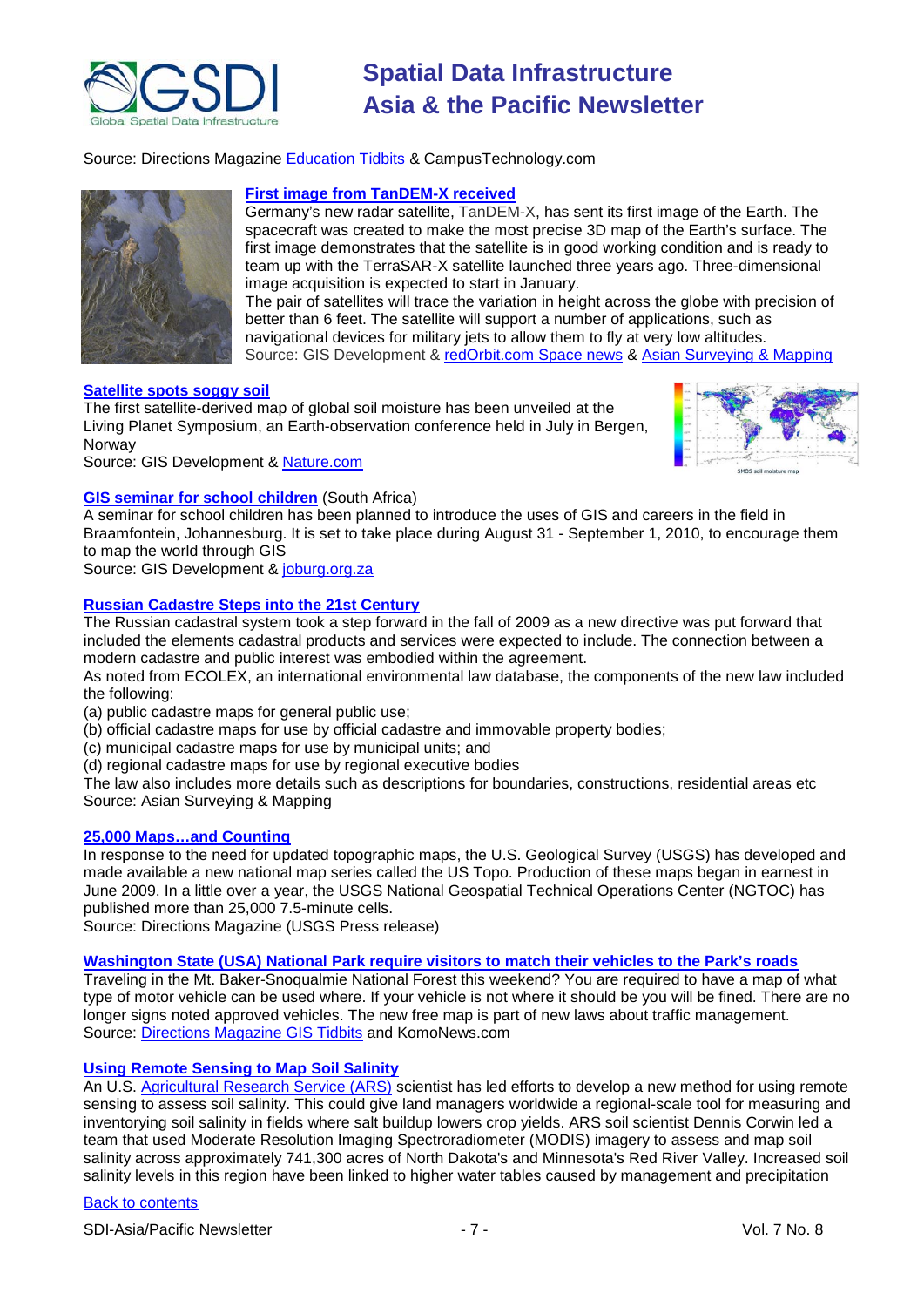

Source: Directions Magazine [Education Tidbits](http://apb.directionsmag.com/archives/8303-Education-Tidbits.html) & CampusTechnology.com



#### **[First image from TanDEM-X received](http://beta.gisdevelopment.net/index.php?option=com_content&view=article&id=17852%3Afirst-image-from-tandem-x-received&catid=44%3Aproduct-satellite-imagery&Itemid=1)**

Germany's new radar satellite, [TanDEM-X,](http://beta.gisdevelopment.net/index.php?option=com_content&view=article&id=17814%3Agerman-radar-satellite-tandem-x-launched&catid=80%3Amiscellaneous-satellite-launch&Itemid=1) has sent its first image of the Earth. The spacecraft was created to make the most precise 3D map of the Earth's surface. The first image demonstrates that the satellite is in good working condition and is ready to team up with the TerraSAR-X satellite launched three years ago. Three-dimensional image acquisition is expected to start in January.

The pair of satellites will trace the variation in height across the globe with precision of better than 6 feet. The satellite will support a number of applications, such as navigational devices for military jets to allow them to fly at very low altitudes. Source: GIS Development & [redOrbit.com Space news](http://www.redorbit.com/news/space/1884888/first_images_received_from_tandemx_satellite/) & [Asian Surveying & Mapping](http://asmmag.com/features/terrasar-x-adds-more-elevation-data)

#### **[Satellite spots soggy soil](http://beta.gisdevelopment.net/index.php?option=com_content&view=article&id=17890%3Asatellite-spots-soggy-soil&catid=47%3Aproduct-surveying-mapping&Itemid=1)**

The first satellite-derived map of global soil moisture has been unveiled at the Living Planet Symposium, an Earth-observation conference held in July in Bergen, Norway



Source: GIS Development & [Nature.com](http://www.nature.com/news/2010/100630/full/news.2010.325.html)

#### **[GIS seminar for school children](http://beta.gisdevelopment.net/index.php?option=com_content&view=article&id=17858%3Agis-seminar-for-school-children&catid=77%3Amiscellaneous-education&Itemid=1)** (South Africa)

A seminar for school children has been planned to introduce the uses of GIS and careers in the field in Braamfontein, Johannesburg. It is set to take place during August 31 - September 1, 2010, to encourage them to map the world through GIS

Source: GIS Development & [joburg.org.za](http://www.joburg.org.za/content/view/5381/266/)

#### **[Russian Cadastre Steps into the 21st Century](http://asmmag.com/features/russian-cadastre-steps-into-the-21st-century)**

The Russian cadastral system took a step forward in the fall of 2009 as a new directive was put forward that included the elements cadastral products and services were expected to include. The connection between a modern cadastre and public interest was embodied within the agreement.

As noted from ECOLEX, an international environmental law database, the components of the new law included the following:

(a) public cadastre maps for general public use;

(b) official cadastre maps for use by official cadastre and immovable property bodies;

(c) municipal cadastre maps for use by municipal units; and

(d) regional cadastre maps for use by regional executive bodies

The law also includes more details such as descriptions for boundaries, constructions, residential areas etc Source: Asian Surveying & Mapping

#### **[25,000 Maps…and Counting](http://www.directionsmag.com/press.releases/?duty=Show&id=52220)**

In response to the need for updated topographic maps, the U.S. Geological Survey [\(USGS\)](http://www.usgs.gov/) has developed and made available a new national map series called the [US Topo.](http://nationalmap.gov/ustopo/index.html) Production of these maps began in earnest in June 2009. In a little over a year, the USGS National Geospatial Technical Operations Center [\(NGTOC\)](http://ngtoc.usgs.gov/) has published more than 25,000 7.5-minute cells.

Source: Directions Magazine (USGS Press release)

#### **[Washington State \(USA\) National Park require visitors to match their vehicles to the Park's roads](http://www.komonews.com/younews/97903794.html)**

Traveling in the Mt. Baker-Snoqualmie National Forest this weekend? You are required to have a map of what type of motor vehicle can be used where. If your vehicle is not where it should be you will be fined. There are no longer signs noted approved vehicles. The new free map is part of new laws about traffic management. Source: [Directions Magazine GIS Tidbits](http://apb.directionsmag.com/archives/8239-Local-GIS-Tidbits.html) and KomoNews.com

#### **[Using Remote Sensing to Map Soil Salinity](http://jeq.scijournals.org/cgi/content/abstract/39/1/35)**

An U.S. [Agricultural Research Service \(ARS\)](http://www.ars.usda.gov/main/main.htm) scientist has led efforts to develop a new method for using remote sensing to assess soil salinity. This could give land managers worldwide a regional-scale tool for measuring and inventorying soil salinity in fields where salt buildup lowers crop yields. ARS soil scientist Dennis Corwin led a team that used Moderate Resolution Imaging Spectroradiometer (MODIS) imagery to assess and map soil salinity across approximately 741,300 acres of North Dakota's and Minnesota's Red River Valley. Increased soil salinity levels in this region have been linked to higher water tables caused by management and precipitation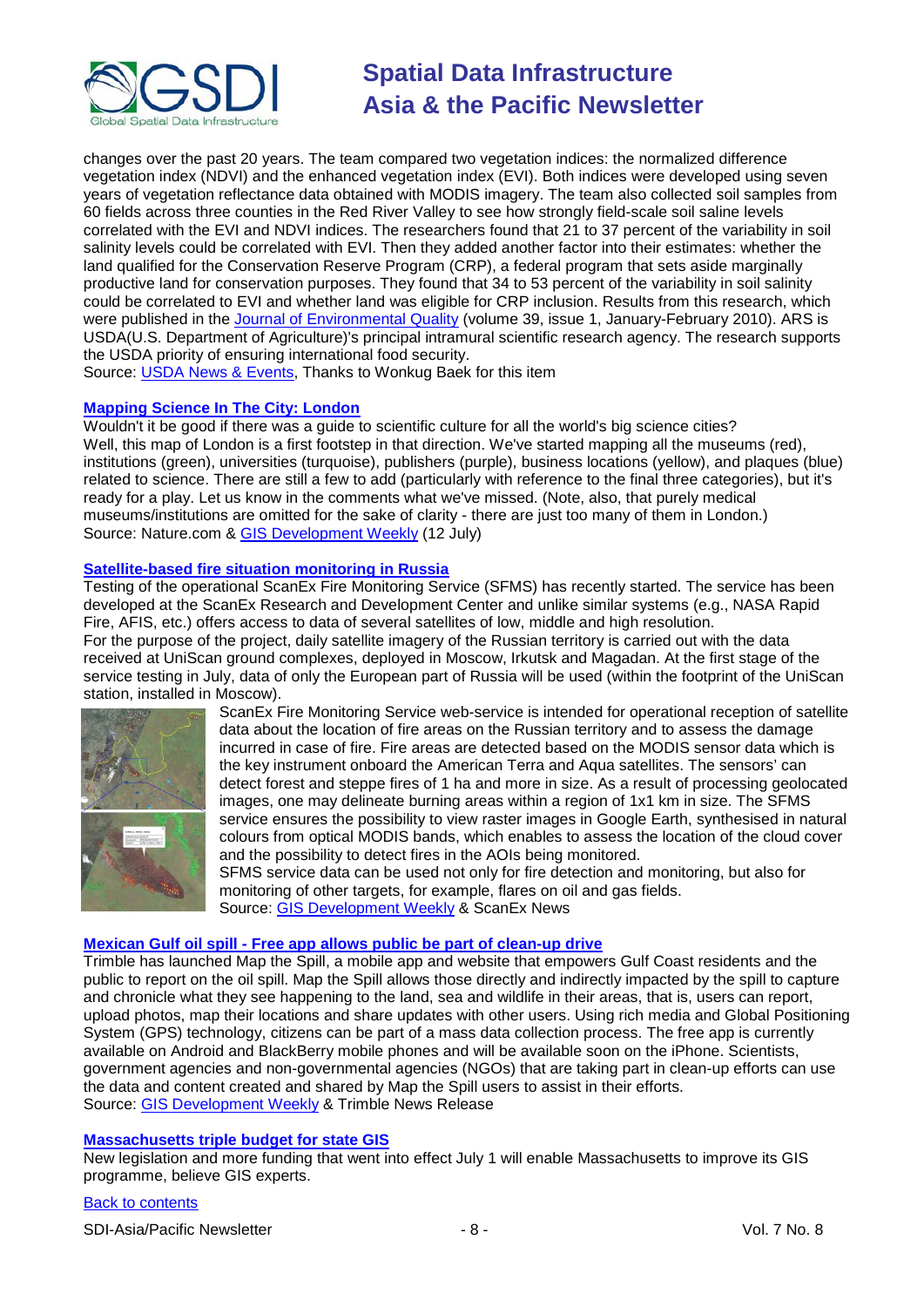

changes over the past 20 years. The team compared two vegetation indices: the normalized difference vegetation index (NDVI) and the enhanced vegetation index (EVI). Both indices were developed using seven years of vegetation reflectance data obtained with MODIS imagery. The team also collected soil samples from 60 fields across three counties in the Red River Valley to see how strongly field-scale soil saline levels correlated with the EVI and NDVI indices. The researchers found that 21 to 37 percent of the variability in soil salinity levels could be correlated with EVI. Then they added another factor into their estimates: whether the land qualified for the Conservation Reserve Program (CRP), a federal program that sets aside marginally productive land for conservation purposes. They found that 34 to 53 percent of the variability in soil salinity could be correlated to EVI and whether land was eligible for CRP inclusion. Results from this research, which were published in the [Journal of Environmental Quality](http://jeq.scijournals.org/) (volume 39, issue 1, January-February 2010). ARS is USDA(U.S. Department of Agriculture)'s principal intramural scientific research agency. The research supports the USDA priority of ensuring international food security.

Source: [USDA News &](http://www.ars.usda.gov/is/pr/2010/100629.htm) Events, Thanks to Wonkug Baek for this item

#### **[Mapping Science In The City: London](http://blogs.nature.com/u6e5b2ce1/2010/07/08/mapping-science-in-the-city-london)**

Wouldn't it be good if there was a guide to scientific culture for all the world's big science cities? Well, this map of London is a first footstep in that direction. We've started mapping all the museums (red), institutions (green), universities (turquoise), publishers (purple), business locations (yellow), and plaques (blue) related to science. There are still a few to add (particularly with reference to the final three categories), but it's ready for a play. Let us know in the comments what we've missed. (Note, also, that purely medical museums/institutions are omitted for the sake of clarity - there are just too many of them in London.) Source: Nature.com & [GIS Development Weekly](http://www.gisdevelopment.net/ezine/weekly/jul1210.htm) (12 July)

#### **[Satellite-based fire situation monitoring in Russia](http://www.scanex.ru/en/news/News_Preview.asp?id=n16621241)**

Testing of the operational ScanEx Fire Monitoring Service (SFMS) has recently started. The service has been developed at the ScanEx Research and Development Center and unlike similar systems (e.g., NASA Rapid Fire, AFIS, etc.) offers access to data of several satellites of low, middle and high resolution. For the purpose of the project, daily satellite imagery of the Russian territory is carried out with the data received at UniScan ground complexes, deployed in Moscow, Irkutsk and Magadan. At the first stage of the service testing in July, data of only the European part of Russia will be used (within the footprint of the UniScan station, installed in Moscow).



ScanEx Fire Monitoring Service web-service is intended for operational reception of satellite data about the location of fire areas on the Russian territory and to assess the damage incurred in case of fire. Fire areas are detected based on the MODIS sensor data which is the key instrument onboard the American Terra and Aqua satellites. The sensors' can detect forest and steppe fires of 1 ha and more in size. As a result of processing geolocated images, one may delineate burning areas within a region of 1x1 km in size. The SFMS service ensures the possibility to view raster images in Google Earth, synthesised in natural colours from optical MODIS bands, which enables to assess the location of the cloud cover and the possibility to detect fires in the AOIs being monitored. SFMS service data can be used not only for fire detection and monitoring, but also for

monitoring of other targets, for example, flares on oil and gas fields. Source: [GIS Development Weekly](http://beta.gisdevelopment.net/index.php?option=com_content&view=article&id=17906%3Asatellite-based-fire-situation-monitoring-in-russia-&catid=53%3Aapplication-natural-hazard-management&Itemid=1) & ScanEx News

#### **Mexican Gulf oil spill - [Free app allows public be part of clean-up drive](http://www.trimble.com/news/release.aspx?id=063010b)**

Trimble has launched Map the Spill, a mobile app and website that empowers Gulf Coast residents and the public to report on the oil spill. Map the Spill allows those directly and indirectly impacted by the spill to capture and chronicle what they see happening to the land, sea and wildlife in their areas, that is, users can report, upload photos, map their locations and share updates with other users. Using rich media and Global Positioning System (GPS) technology, citizens can be part of a mass data collection process. The free app is currently available on Android and BlackBerry mobile phones and will be available soon on the iPhone. Scientists, government agencies and non-governmental agencies (NGOs) that are taking part in clean-up efforts can use the data and content created and shared by Map the Spill users to assist in their efforts. Source: [GIS Development Weekly](http://beta.gisdevelopment.net/index.php?option=com_content&view=article&id=17904%3Afree-app-allows-public-be-part-of-clean-up-drive&catid=53%3Aapplication-natural-hazard-management&Itemid=1) & Trimble News Release

#### **[Massachusetts triple budget for state GIS](http://www.govtech.com/gt/articles/766023)**

New legislation and more funding that went into effect July 1 will enable Massachusetts to improve its GIS programme, believe GIS experts.

#### [Back to contents](#page-0-0)

SDI-Asia/Pacific Newsletter  $\overline{8}$  - 8 -  $\overline{8}$  -  $\overline{8}$  -  $\overline{8}$  -  $\overline{8}$  -  $\overline{8}$  -  $\overline{8}$  -  $\overline{8}$  -  $\overline{8}$  -  $\overline{8}$  -  $\overline{8}$  -  $\overline{8}$  -  $\overline{8}$  -  $\overline{8}$  -  $\overline{8}$  -  $\overline{8}$  -  $\overline{8}$  -  $\over$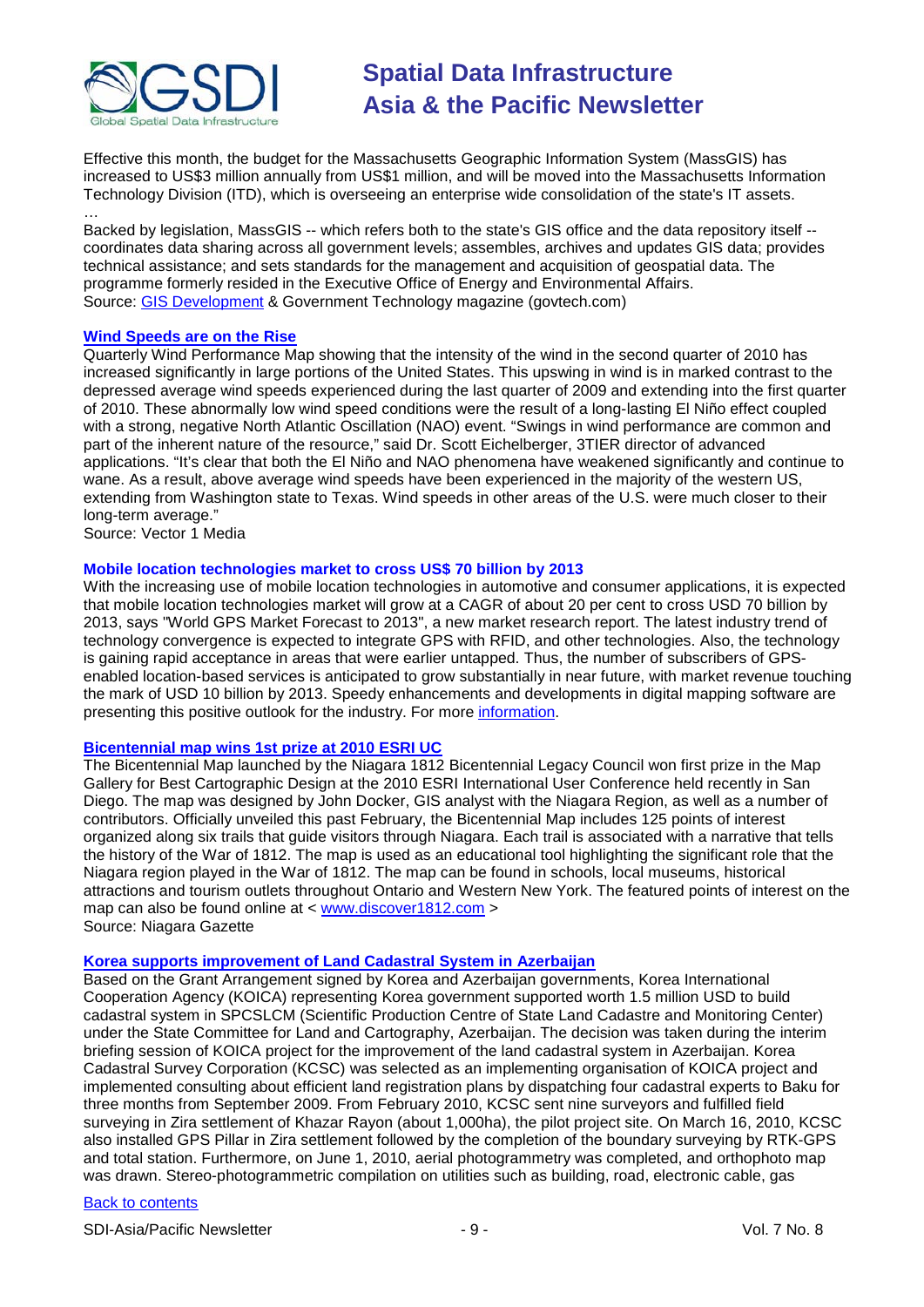

Effective this month, the budget for the Massachusetts Geographic Information System (MassGIS) has increased to US\$3 million annually from US\$1 million, and will be moved into the Massachusetts Information Technology Division (ITD), which is overseeing an enterprise wide consolidation of the state's IT assets.

… Backed by legislation, MassGIS -- which refers both to the state's GIS office and the data repository itself - coordinates data sharing across all government levels; assembles, archives and updates GIS data; provides technical assistance; and sets standards for the management and acquisition of geospatial data. The programme formerly resided in the Executive Office of Energy and Environmental Affairs. Source: [GIS Development](http://beta.gisdevelopment.net/index.php?option=com_content&view=article&id=17938%3Amassachusetts-charts-new-course-for-gis-programme&catid=42%3Aproduct-gis&Itemid=1) & Government Technology magazine (govtech.com)

#### **[Wind Speeds are on the Rise](http://www.vector1media.com/news/top-stories/53-corporate-news/14279-wind-speeds-are-on-the-rise)**

Quarterly Wind Performance Map showing that the intensity of the wind in the second quarter of 2010 has increased significantly in large portions of the United States. This upswing in wind is in marked contrast to the depressed average wind speeds experienced during the last quarter of 2009 and extending into the first quarter of 2010. These abnormally low wind speed conditions were the result of a long-lasting El Niño effect coupled with a strong, negative North Atlantic Oscillation (NAO) event. "Swings in wind performance are common and part of the inherent nature of the resource," said Dr. Scott Eichelberger, 3TIER director of advanced applications. "It's clear that both the El Niño and NAO phenomena have weakened significantly and continue to wane. As a result, above average wind speeds have been experienced in the majority of the western US, extending from Washington state to Texas. Wind speeds in other areas of the U.S. were much closer to their long-term average."

Source: Vector 1 Media

#### **Mobile location technologies market to cross US\$ 70 billion by 2013**

With the increasing use of mobile location technologies in automotive and consumer applications, it is expected that mobile location technologies market will grow at a CAGR of about 20 per cent to cross USD 70 billion by 2013, says "World GPS Market Forecast to 2013", a new market research report. The latest industry trend of technology convergence is expected to integrate GPS with RFID, and other technologies. Also, the technology is gaining rapid acceptance in areas that were earlier untapped. Thus, the number of subscribers of GPSenabled location-based services is anticipated to grow substantially in near future, with market revenue touching the mark of USD 10 billion by 2013. Speedy enhancements and developments in digital mapping software are presenting this positive outlook for the industry. For more [information.](http://www.officialwire.com/main.php?action=posted_news&rid=174560)

#### **[Bicentennial map wins 1st prize at 2010 ESRI UC](http://niagara-gazette.com/local/x1037666887/Bicentennial-map-takes-first-place)**

The Bicentennial Map launched by the Niagara 1812 Bicentennial Legacy Council won first prize in the Map Gallery for Best Cartographic Design at the 2010 ESRI International User Conference held recently in San Diego. The map was designed by John Docker, GIS analyst with the Niagara Region, as well as a number of contributors. Officially unveiled this past February, the Bicentennial Map includes 125 points of interest organized along six trails that guide visitors through Niagara. Each trail is associated with a narrative that tells the history of the War of 1812. The map is used as an educational tool highlighting the significant role that the Niagara region played in the War of 1812. The map can be found in schools, local museums, historical attractions and tourism outlets throughout Ontario and Western New York. The featured points of interest on the map can also be found online at < [www.discover1812.com](http://www.discover1812.com/) > Source: Niagara Gazette

#### **[Korea supports improvement of Land Cadastral System in Azerbaijan](http://en.trend.az/capital/realest/1713336.html)**

Based on the Grant Arrangement signed by Korea and Azerbaijan governments, Korea International Cooperation Agency (KOICA) representing Korea government supported worth 1.5 million USD to build cadastral system in SPCSLCM (Scientific Production Centre of State Land Cadastre and Monitoring Center) under the State Committee for Land and Cartography, Azerbaijan. The decision was taken during the interim briefing session of KOICA project for the improvement of the land cadastral system in Azerbaijan. Korea Cadastral Survey Corporation (KCSC) was selected as an implementing organisation of KOICA project and implemented consulting about efficient land registration plans by dispatching four cadastral experts to Baku for three months from September 2009. From February 2010, KCSC sent nine surveyors and fulfilled field surveying in Zira settlement of Khazar Rayon (about 1,000ha), the pilot project site. On March 16, 2010, KCSC also installed GPS Pillar in Zira settlement followed by the completion of the boundary surveying by RTK-GPS and total station. Furthermore, on June 1, 2010, aerial photogrammetry was completed, and orthophoto map was drawn. Stereo-photogrammetric compilation on utilities such as building, road, electronic cable, gas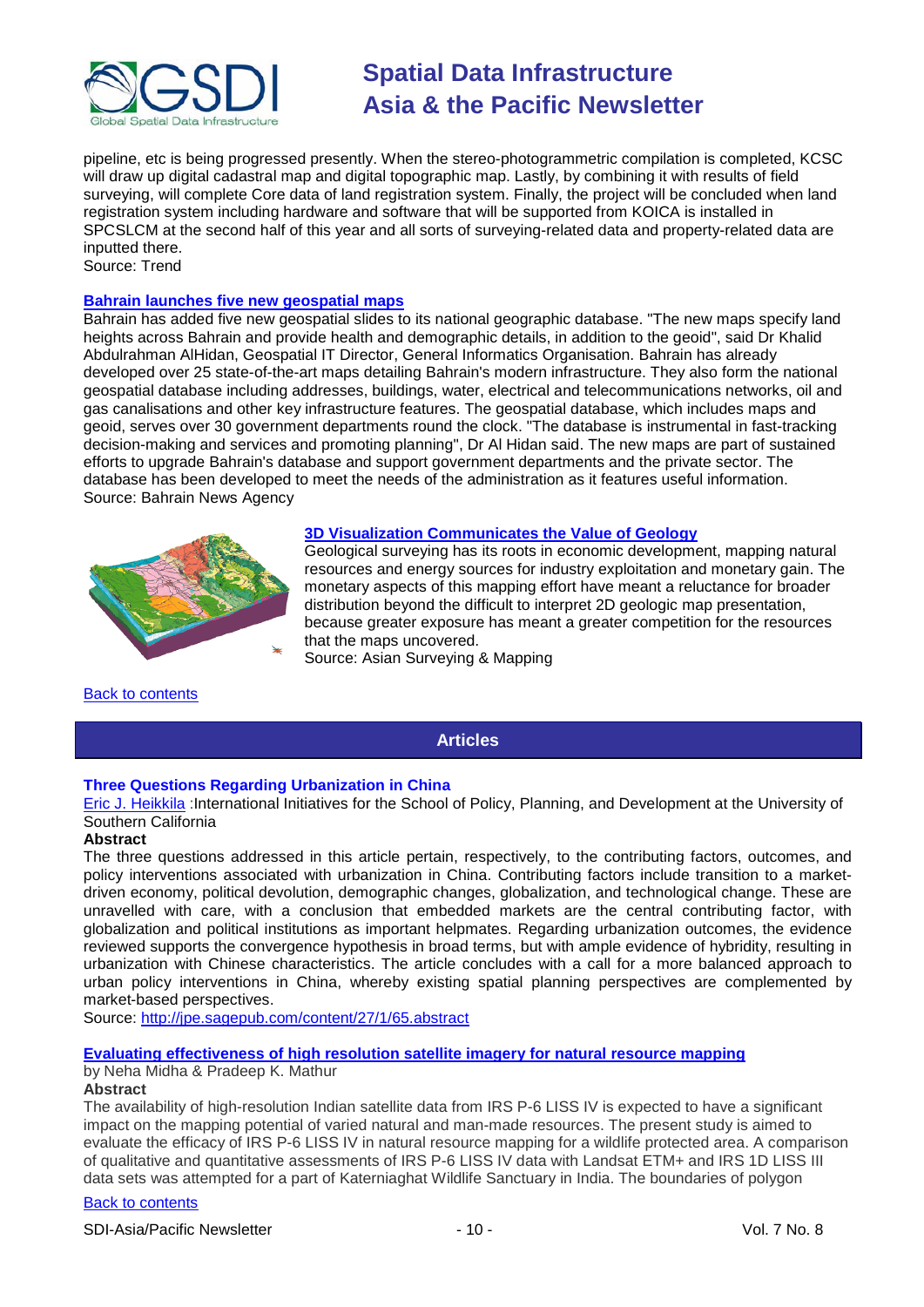

pipeline, etc is being progressed presently. When the stereo-photogrammetric compilation is completed, KCSC will draw up digital cadastral map and digital topographic map. Lastly, by combining it with results of field surveying, will complete Core data of land registration system. Finally, the project will be concluded when land registration system including hardware and software that will be supported from KOICA is installed in SPCSLCM at the second half of this year and all sorts of surveying-related data and property-related data are inputted there.

Source: Trend

### **[Bahrain launches five new geospatial maps](http://english.bna.bh/?ID=88408)**

Bahrain has added five new geospatial slides to its national geographic database. "The new maps specify land heights across Bahrain and provide health and demographic details, in addition to the geoid", said Dr Khalid Abdulrahman AlHidan, Geospatial IT Director, General Informatics Organisation. Bahrain has already developed over 25 state-of-the-art maps detailing Bahrain's modern infrastructure. They also form the national geospatial database including addresses, buildings, water, electrical and telecommunications networks, oil and gas canalisations and other key infrastructure features. The geospatial database, which includes maps and geoid, serves over 30 government departments round the clock. "The database is instrumental in fast-tracking decision-making and services and promoting planning", Dr Al Hidan said. The new maps are part of sustained efforts to upgrade Bahrain's database and support government departments and the private sector. The database has been developed to meet the needs of the administration as it features useful information. Source: Bahrain News Agency



#### **[3D Visualization Communicates the Value of Geology](http://asmmag.com/features/3d-visualization-communicates-the-value-of-geology)**

Geological surveying has its roots in economic development, mapping natural resources and energy sources for industry exploitation and monetary gain. The monetary aspects of this mapping effort have meant a reluctance for broader distribution beyond the difficult to interpret 2D geologic map presentation, because greater exposure has meant a greater competition for the resources that the maps uncovered.

Source: Asian Surveying & Mapping

<span id="page-9-0"></span>[Back to contents](#page-0-0)

### **Articles**

#### **Three Questions Regarding Urbanization in China**

[Eric J. Heikkila](http://jpe.sagepub.com/search?author1=Eric+J.+Heikkila&sortspec=date&submit=Submit) :International Initiatives for the School of Policy, Planning, and Development at the University of Southern California

#### **Abstract**

The three questions addressed in this article pertain, respectively, to the contributing factors, outcomes, and policy interventions associated with urbanization in China. Contributing factors include transition to a marketdriven economy, political devolution, demographic changes, globalization, and technological change. These are unravelled with care, with a conclusion that embedded markets are the central contributing factor, with globalization and political institutions as important helpmates. Regarding urbanization outcomes, the evidence reviewed supports the convergence hypothesis in broad terms, but with ample evidence of hybridity, resulting in urbanization with Chinese characteristics. The article concludes with a call for a more balanced approach to urban policy interventions in China, whereby existing spatial planning perspectives are complemented by market-based perspectives.

Source: <http://jpe.sagepub.com/content/27/1/65.abstract>

#### **[Evaluating effectiveness of high resolution satellite imagery for natural resource mapping](http://beta.gisdevelopment.net/index.php?option=com_content&view=article&id=17900%3Aevaluating-effectiveness-of-high-resolution-satellite-imagery-for-natural-resource-mapping&catid=145&Itemid=28&Itemid=41)**

### by Neha Midha & Pradeep K. Mathur

#### **Abstract**

The availability of high-resolution Indian satellite data from IRS P-6 LISS IV is expected to have a significant impact on the mapping potential of varied natural and man-made resources. The present study is aimed to evaluate the efficacy of IRS P-6 LISS IV in natural resource mapping for a wildlife protected area. A comparison of qualitative and quantitative assessments of IRS P-6 LISS IV data with Landsat ETM+ and IRS 1D LISS III data sets was attempted for a part of Katerniaghat Wildlife Sanctuary in India. The boundaries of polygon

#### [Back to contents](#page-0-0)

SDI-Asia/Pacific Newsletter  $\sim$  10 - Vol. 7 No. 8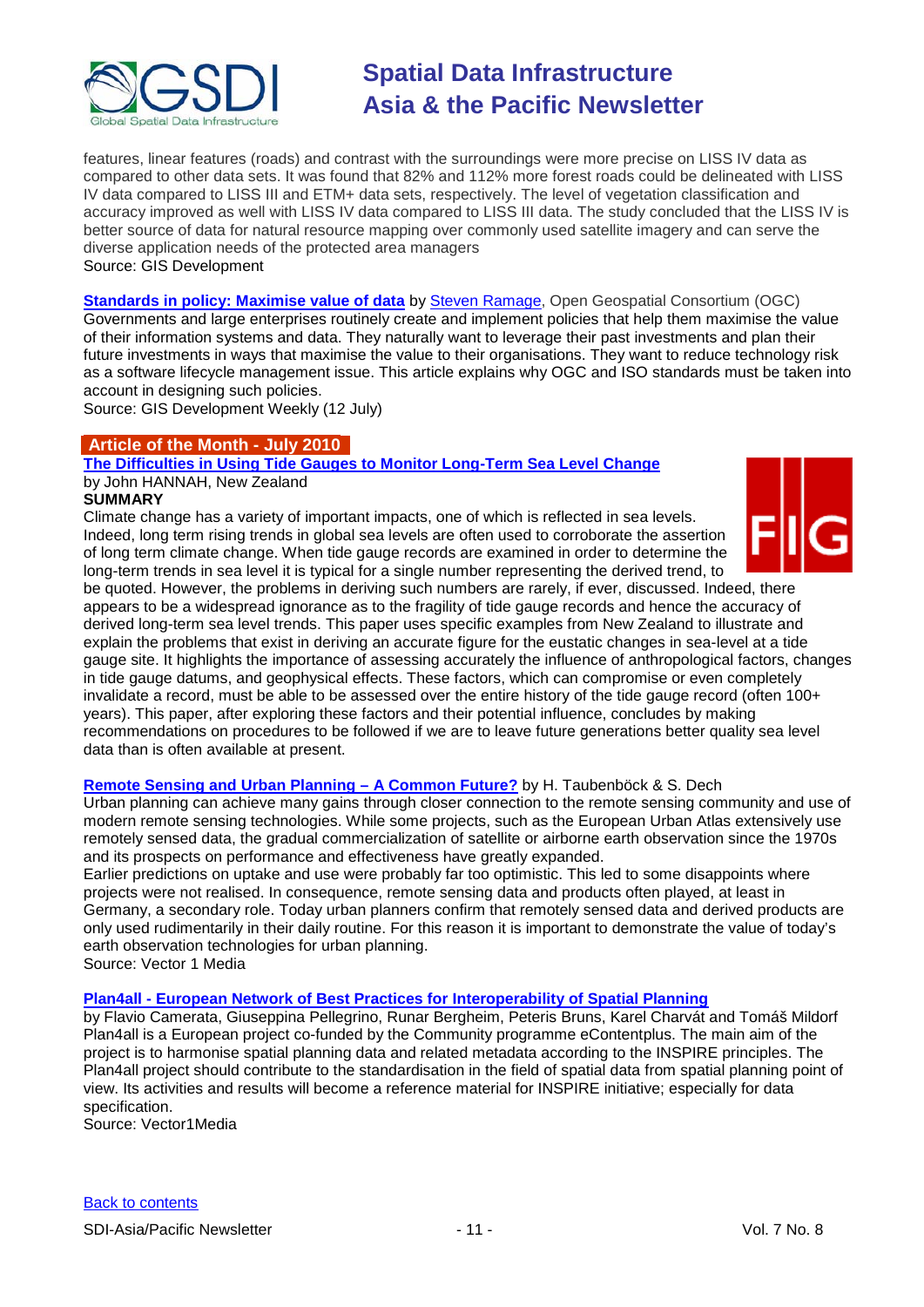

features, linear features (roads) and contrast with the surroundings were more precise on LISS IV data as compared to other data sets. It was found that 82% and 112% more forest roads could be delineated with LISS IV data compared to LISS III and ETM+ data sets, respectively. The level of vegetation classification and accuracy improved as well with LISS IV data compared to LISS III data. The study concluded that the LISS IV is better source of data for natural resource mapping over commonly used satellite imagery and can serve the diverse application needs of the protected area managers Source: GIS Development

**[Standards in policy: Maximise value of data](http://www.gisdevelopment.net/magazine/global/2010/june/42-Standards-in-policy-Maximise-value-of-data.htm)** by [Steven Ramage,](mailto:sramage@opengeospatial.org) Open Geospatial Consortium (OGC) Governments and large enterprises routinely create and implement policies that help them maximise the value of their information systems and data. They naturally want to leverage their past investments and plan their future investments in ways that maximise the value to their organisations. They want to reduce technology risk as a software lifecycle management issue. This article explains why OGC and ISO standards must be taken into account in designing such policies.

Source: GIS Development Weekly (12 July)

### **Article of the Month - July 2010**

**[The Difficulties in Using Tide Gauges to Monitor Long-Term Sea Level Change](http://www.fig.net/pub/monthly_articles/july_2010/july_2010_hannah.html)** by John HANNAH, New Zealand

#### **SUMMARY**

Climate change has a variety of important impacts, one of which is reflected in sea levels. Indeed, long term rising trends in global sea levels are often used to corroborate the assertion of long term climate change. When tide gauge records are examined in order to determine the long-term trends in sea level it is typical for a single number representing the derived trend, to



be quoted. However, the problems in deriving such numbers are rarely, if ever, discussed. Indeed, there appears to be a widespread ignorance as to the fragility of tide gauge records and hence the accuracy of derived long-term sea level trends. This paper uses specific examples from New Zealand to illustrate and explain the problems that exist in deriving an accurate figure for the eustatic changes in sea-level at a tide gauge site. It highlights the importance of assessing accurately the influence of anthropological factors, changes in tide gauge datums, and geophysical effects. These factors, which can compromise or even completely invalidate a record, must be able to be assessed over the entire history of the tide gauge record (often 100+ years). This paper, after exploring these factors and their potential influence, concludes by making recommendations on procedures to be followed if we are to leave future generations better quality sea level data than is often available at present.

**[Remote Sensing and Urban Planning –](http://www.vector1media.com/articles/features/13931-remote-sensing-and-urban-planning-a-common-future-) A Common Future?** by H. Taubenböck & S. Dech

Urban planning can achieve many gains through closer connection to the remote sensing community and use of modern remote sensing technologies. While some projects, such as the European Urban Atlas extensively use remotely sensed data, the gradual commercialization of satellite or airborne earth observation since the 1970s and its prospects on performance and effectiveness have greatly expanded.

Earlier predictions on uptake and use were probably far too optimistic. This led to some disappoints where projects were not realised. In consequence, remote sensing data and products often played, at least in Germany, a secondary role. Today urban planners confirm that remotely sensed data and derived products are only used rudimentarily in their daily routine. For this reason it is important to demonstrate the value of today's earth observation technologies for urban planning.

Source: Vector 1 Media

### **Plan4all - [European Network of Best Practices for Interoperability of Spatial Planning](http://www.vector1media.com/articles/features/14335-plan4all-european-network-of-best-practices-for-interoperability-of-spatial-planning)**

by Flavio Camerata, Giuseppina Pellegrino, Runar Bergheim, Peteris Bruns, Karel Charvát and Tomáš Mildorf Plan4all is a European project co-funded by the Community programme eContentplus. The main aim of the project is to harmonise spatial planning data and related metadata according to the INSPIRE principles. The Plan4all project should contribute to the standardisation in the field of spatial data from spatial planning point of view. Its activities and results will become a reference material for INSPIRE initiative; especially for data specification.

Source: Vector1Media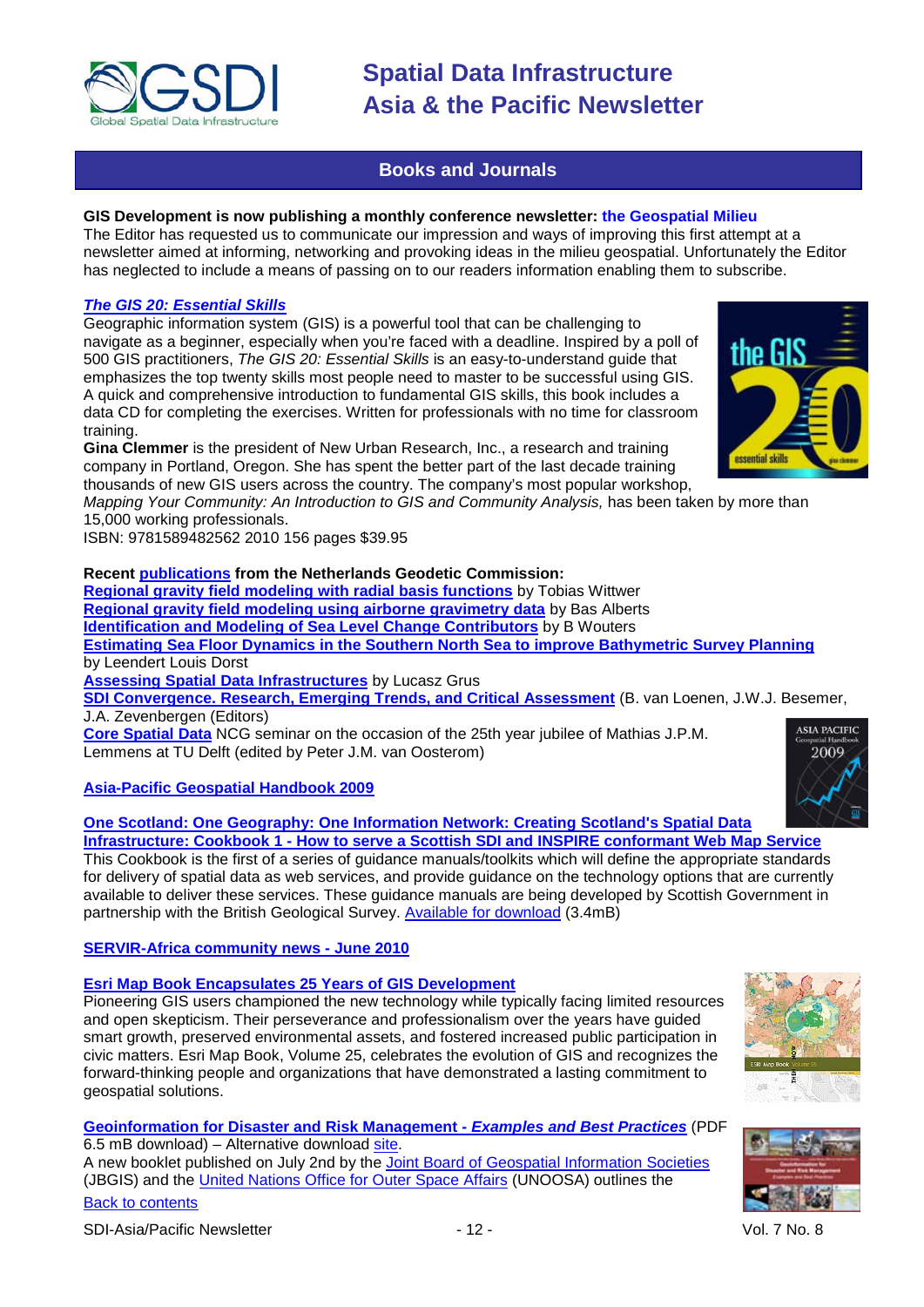

### **Books and Journals**

#### <span id="page-11-0"></span>**GIS Development is now publishing a monthly conference newsletter: the Geospatial Milieu**

The Editor has requested us to communicate our impression and ways of improving this first attempt at a newsletter aimed at informing, networking and provoking ideas in the milieu geospatial. Unfortunately the Editor has neglected to include a means of passing on to our readers information enabling them to subscribe.

#### *[The GIS 20: Essential Skills](http://esripress.esri.com/display/index.cfm?fuseaction=display&websiteID=176&moduleID=0)*

Geographic information system (GIS) is a powerful tool that can be challenging to navigate as a beginner, especially when you're faced with a deadline. Inspired by a poll of 500 GIS practitioners, *The GIS 20: Essential Skills* is an easy-to-understand guide that emphasizes the top twenty skills most people need to master to be successful using GIS. A quick and comprehensive introduction to fundamental GIS skills, this book includes a data CD for completing the exercises. Written for professionals with no time for classroom training.

**Gina Clemmer** is the president of New Urban Research, Inc., a research and training company in Portland, Oregon. She has spent the better part of the last decade training thousands of new GIS users across the country. The company's most popular workshop,

*Mapping Your Community: An Introduction to GIS and Community Analysis,* has been taken by more than 15,000 working professionals.

ISBN: 9781589482562 2010 156 pages \$39.95

**Recent [publications](http://www.ncg.knaw.nl/eng/publications/general.html) from the Netherlands Geodetic Commission:**

**[Regional gravity field modeling](http://www.ncg.knaw.nl/Publicaties/Geodesy/72Wittwer.html) with radial basis functions** by Tobias Wittwer **[Regional gravity field modeling using airborne gravimetry data](http://www.ncg.knaw.nl/Publicaties/Geodesy/70Alberts.html)** by Bas Alberts **[Identification and Modeling of Sea Level Change Contributors](http://www.ncg.knaw.nl/Publicaties/Geodesy/73Wouters.html)** by B Wouters **[Estimating Sea Floor Dynamics in the Southern North Sea to improve Bathymetric Survey Planning](http://www.ncg.knaw.nl/Publicaties/Geodesy/69Dorst.html)** by Leendert Louis Dorst

**[Assessing Spatial Data Infrastructures](http://www.ncg.knaw.nl/Publicaties/Geodesy/76Grus.html)** by Lucasz Grus

**[SDI Convergence. Research, Emerging Trends, and Critical Assessment](http://www.ncg.knaw.nl/Publicaties/Groen/48VanLoenen.html)** (B. van Loenen, J.W.J. Besemer, J.A. Zevenbergen (Editors)

**[Core Spatial Data](http://www.ncg.knaw.nl/Publicaties/Groen/47VanOosterom.html)** NCG seminar on the occasion of the 25th year jubilee of Mathias J.P.M. Lemmens at TU Delft (edited by Peter J.M. van Oosterom)

**[Asia-Pacific Geospatial](http://www.gisdevelopment.net/magazine/subs/handbook.htm) Handbook 2009**

**[One Scotland: One Geography: One Information Network: Creating Scotland's Spatial Data](http://www.scotland.gov.uk/Publications/2010/05/06161701/0)  Infrastructure: Cookbook 1 - [How to serve a Scottish SDI and INSPIRE conformant Web Map Service](http://www.scotland.gov.uk/Publications/2010/05/06161701/0)**

This Cookbook is the first of a series of guidance manuals/toolkits which will define the appropriate standards for delivery of spatial data as web services, and provide guidance on the technology options that are currently available to deliver these services. These guidance manuals are being developed by Scottish Government in partnership with the British Geological Survey. [Available for download](http://www.scotland.gov.uk/Resource/Doc/311518/0098305.pdf) (3.4mB)

#### **[SERVIR-Africa community news -](http://www.servir.net/africa/index.php?option=com_mamblog&Itemid=54&task=show&action=all&id=0&ignorecount=1) June 2010**

#### **[Esri Map Book Encapsulates 25 Years of GIS Development](http://www.esri.com/mapmuseum/mapbook_gallery/volume25/index.html)**

Pioneering GIS users championed the new technology while typically facing limited resources and open skepticism. Their perseverance and professionalism over the years have guided smart growth, preserved environmental assets, and fostered increased public participation in civic matters. Esri Map Book, Volume 25, celebrates the evolution of GIS and recognizes the forward-thinking people and organizations that have demonstrated a lasting commitment to geospatial solutions.

**[Geoinformation for Disaster and Risk Management -](http://www.fig.net/jbgis/publications/jbgis_booklet_2010.pdf)** *Examples and Best Practices* (PDF  $6.5$  mB download) – Alternative download [site.](http://www.un-spider.org/sites/default/files/JBGIS_UNOOSA_Booklet_0.pdf) A new booklet published on July 2nd by the [Joint Board of Geospatial Information Societies](http://www.fig.net/jbgis/) (JBGIS) and the [United Nations Office for Outer Space Affairs](http://www.oosa.unvienna.org/oosa/index.html) (UNOOSA) outlines the







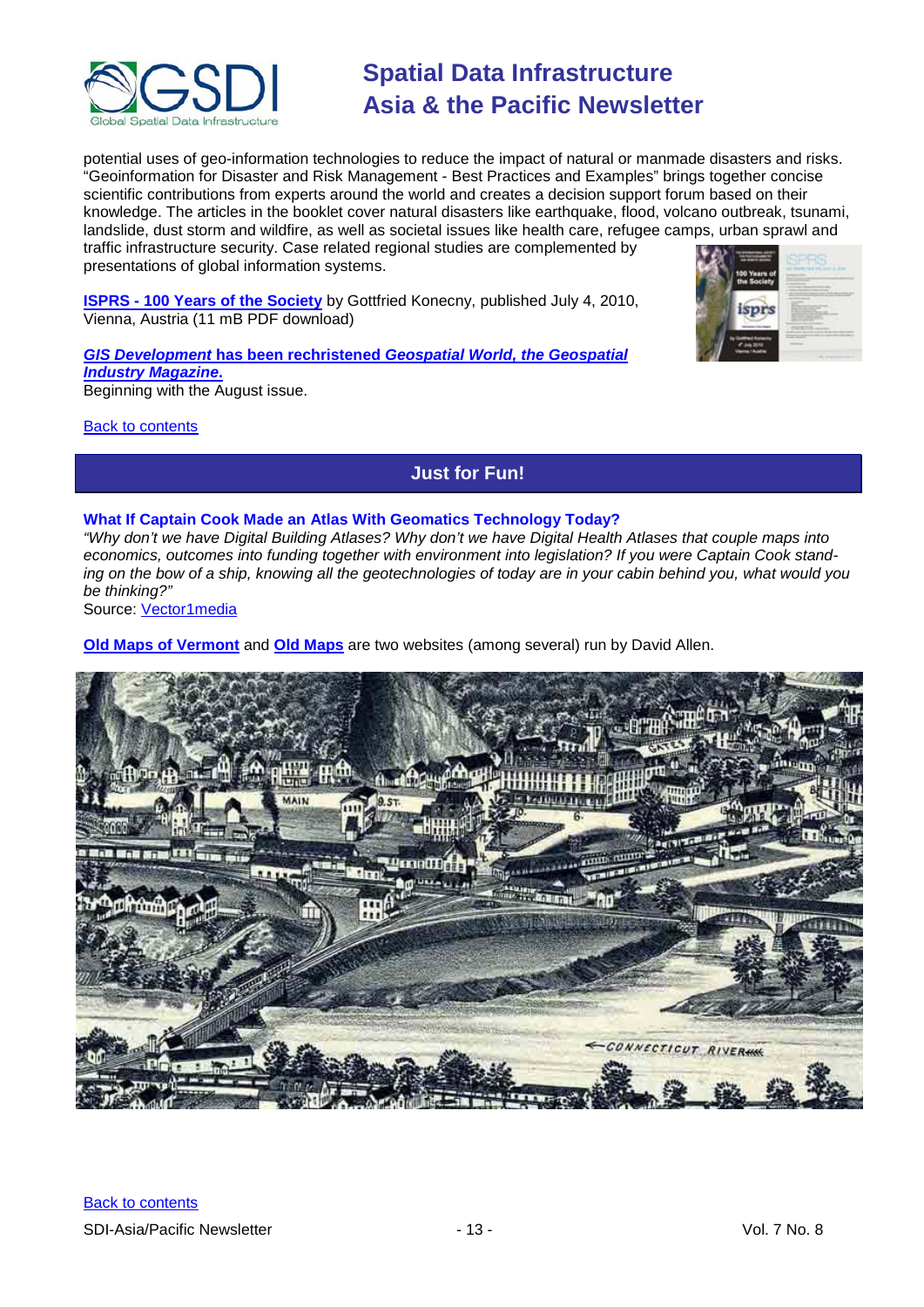

potential uses of geo-information technologies to reduce the impact of natural or manmade disasters and risks. "Geoinformation for Disaster and Risk Management - Best Practices and Examples" brings together concise scientific contributions from experts around the world and creates a decision support forum based on their knowledge. The articles in the booklet cover natural disasters like earthquake, flood, volcano outbreak, tsunami, landslide, dust storm and wildfire, as well as societal issues like health care, refugee camps, urban sprawl and traffic infrastructure security. Case related regional studies are complemented by presentations of global information systems.

**ISPRS - [100 Years of the Society](http://www.isprs.org/documents/centenary/ISPRS_History_Konecny.pdf)** by Gottfried Konecny, published July 4, 2010, Vienna, Austria (11 mB PDF download)

*GIS Development* **has been rechristened** *[Geospatial World, the Geospatial](http://www.geospatialworld.net/)  [Industry Magazine](http://www.geospatialworld.net/)***.** Beginning with the August issue.

<span id="page-12-0"></span>[Back to contents](#page-0-0)

## **Just for Fun!**

#### **What If Captain Cook Made an Atlas With Geomatics Technology Today?**

*"Why don't we have Digital Building Atlases? Why don't we have Digital Health Atlases that couple maps into economics, outcomes into funding together with environment into legislation? If you were Captain Cook standing on the bow of a ship, knowing all the geotechnologies of today are in your cabin behind you, what would you be thinking?"*

Source: [Vector1media](http://www.vector1media.com/vectorone/?p=5785&utm_source=rss&utm_medium=rss&utm_campaign=what-if-captain-cook-made-an-atlas-with-geomatics-technology-today)

**[Old Maps of Vermont](http://www.old-maps.com/vermont.htm)** and **[Old Maps](http://www.old-maps.com/)** are two websites (among several) run by David Allen.



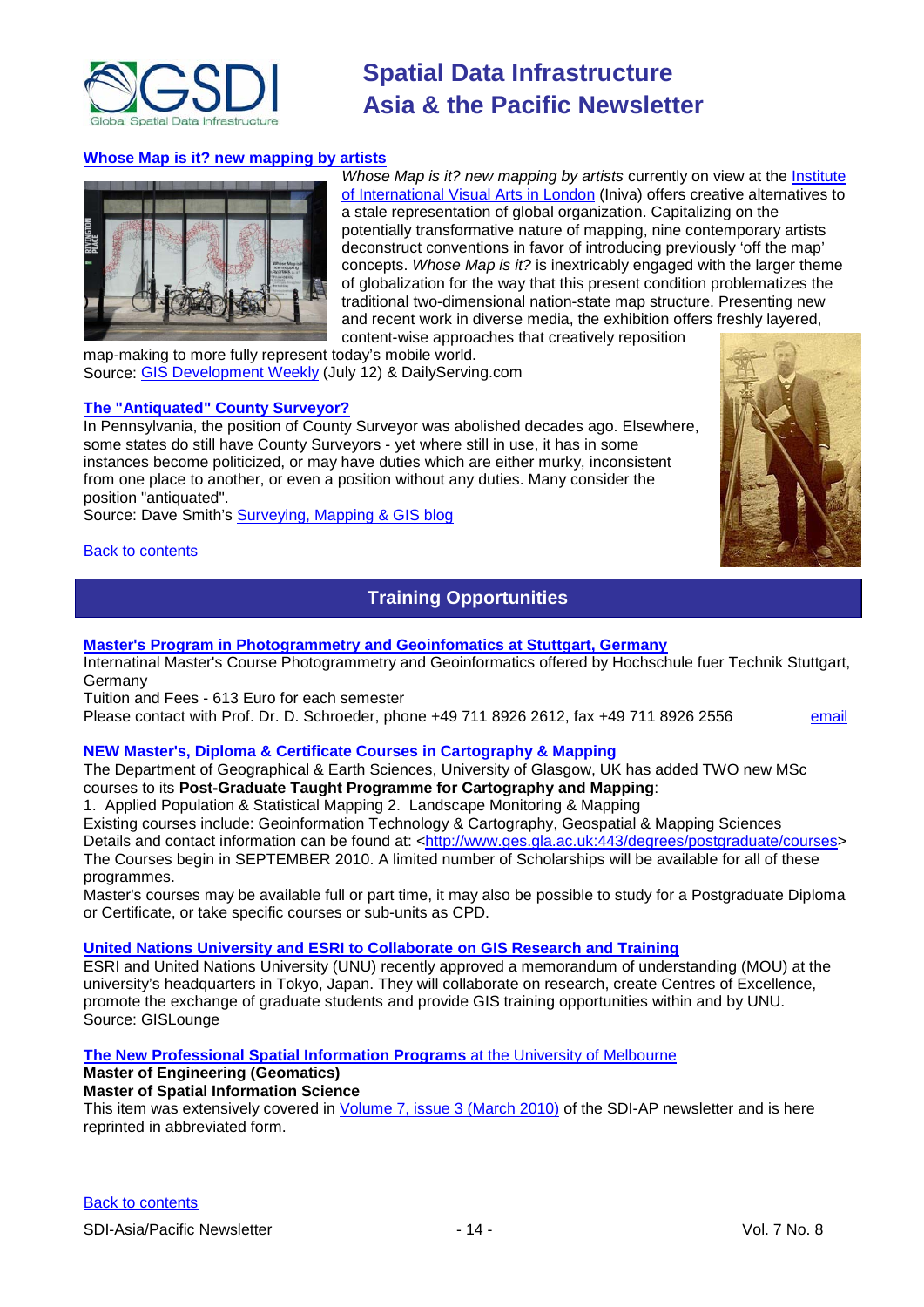

#### **[Whose Map is it? new mapping by artists](http://dailyserving.com/2010/07/whose-map-is-it-new-mapping-by-artists/)**



Whose Map is it? new mapping by artists currently on view at the **Institute** [of International Visual Arts in London](http://www.iniva.org/) (Iniva) offers creative alternatives to a stale representation of global organization. Capitalizing on the potentially transformative nature of mapping, nine contemporary artists deconstruct conventions in favor of introducing previously 'off the map' concepts. *Whose Map is it?* is inextricably engaged with the larger theme of globalization for the way that this present condition problematizes the traditional two-dimensional nation-state map structure. Presenting new and recent work in diverse media, the exhibition offers freshly layered, content-wise approaches that creatively reposition

map-making to more fully represent today's mobile world. Source: [GIS Development Weekly](http://www.gisdevelopment.net/ezine/weekly/jul1210.htm) (July 12) & DailyServing.com

#### **[The "Antiquated" County Surveyor?](http://surveying-mapping-gis.blogspot.com/2010/01/antiquated-county-surveyor.html)**

In Pennsylvania, the position of County Surveyor was abolished decades ago. Elsewhere, some states do still have County Surveyors - yet where still in use, it has in some instances become politicized, or may have duties which are either murky, inconsistent from one place to another, or even a position without any duties. Many consider the position "antiquated".

Source: Dave Smith's [Surveying, Mapping & GIS blog](http://surveying-mapping-gis.blogspot.com/)

#### <span id="page-13-0"></span>**[Back to contents](#page-0-0)**

### **Training Opportunities**

#### **Master's Program [in Photogrammetry and Geoinfomatics at Stuttgart, Germany](http://www.hft-stuttgart.de/)**

Internatinal Master's Course Photogrammetry and Geoinformatics offered by Hochschule fuer Technik Stuttgart, Germany

Tuition and Fees - 613 Euro for each semester

Please contact with Prof. Dr. D. Schroeder, phone +49 711 8926 2612, fax +49 711 8926 2556 [email](mailto:MSc-Manager@hft-stuttgart.de)

#### **NEW Master's, Diploma & Certificate Courses in Cartography & Mapping**

The Department of Geographical & Earth Sciences, University of Glasgow, UK has added TWO new MSc courses to its **Post-Graduate Taught Programme for Cartography and Mapping**:

1. Applied Population & Statistical Mapping 2. Landscape Monitoring & Mapping

Existing courses include: Geoinformation Technology & Cartography, Geospatial & Mapping Sciences

Details and contact information can be found at: [<http://www.ges.gla.ac.uk:443/degrees/postgraduate/courses>](http://www.ges.gla.ac.uk:443/degrees/postgraduate/courses) The Courses begin in SEPTEMBER 2010. A limited number of Scholarships will be available for all of these programmes.

Master's courses may be available full or part time, it may also be possible to study for a Postgraduate Diploma or Certificate, or take specific courses or sub-units as CPD.

#### **[United Nations University and ESRI to Collaborate on GIS Research and Training](http://news.gislounge.com/2010/02/united-nations-university-and-esri-to-collaborate-on-gis-research-and-training/?utm_source=feedburner&utm_medium=feed&utm_campaign=Feed%3A+GeospatialPressReleases+%28Geospatial+Press+Releases%29)**

ESRI and United Nations University (UNU) recently approved a memorandum of understanding (MOU) at the university's headquarters in Tokyo, Japan. They will collaborate on research, create Centres of Excellence, promote the exchange of graduate students and provide GIS training opportunities within and by UNU. Source: GISLounge

#### **[The New Professional Spatial Information Programs](http://www.geom.unimelb.edu.au/future/masters.html)** at the [University of Melbourne](http://www.unimelb.edu.au/)

### **Master of Engineering (Geomatics)**

#### **Master of Spatial Information Science**

This item was extensively covered in [Volume 7, issue 3 \(March 2010\)](http://portal.gsdi.org/files/?artifact_id=688) of the SDI-AP newsletter and is here reprinted in abbreviated form.

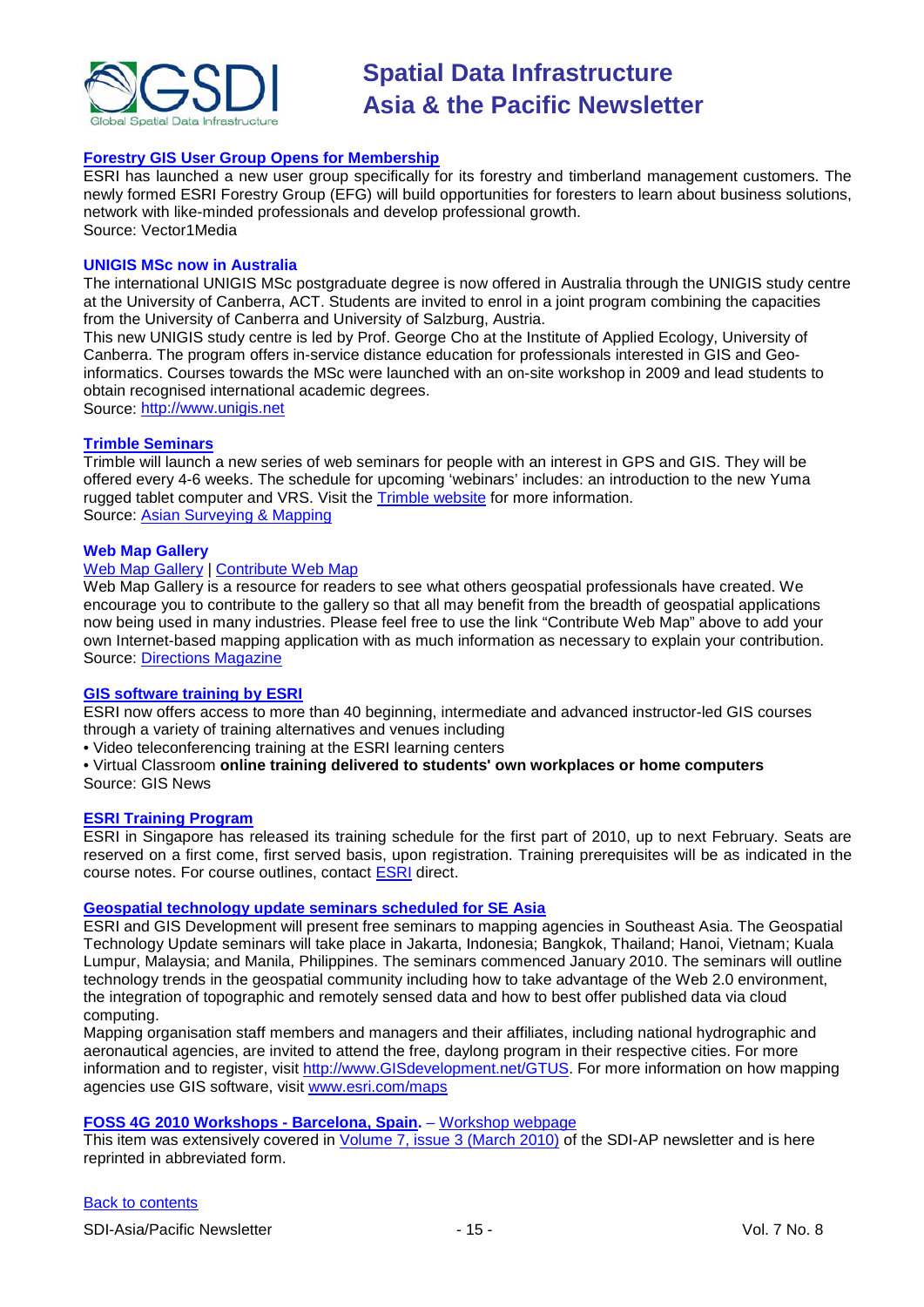

#### **[Forestry GIS User Group Opens for Membership](http://www.vector1media.com/news/top-stories/53-corporate-news/8187-forestry-gis-user-group-opens-for-membership)**

ESRI has launched a new user group specifically for its forestry and timberland management customers. The newly formed ESRI Forestry Group (EFG) will build opportunities for foresters to learn about business solutions, network with like-minded professionals and develop professional growth. Source: Vector1Media

#### **UNIGIS MSc now in Australia**

The international UNIGIS MSc postgraduate degree is now offered in Australia through the UNIGIS study centre at the University of Canberra, ACT. Students are invited to enrol in a joint program combining the capacities from the University of Canberra and University of Salzburg, Austria.

This new UNIGIS study centre is led by Prof. George Cho at the Institute of Applied Ecology, University of Canberra. The program offers in-service distance education for professionals interested in GIS and Geoinformatics. Courses towards the MSc were launched with an on-site workshop in 2009 and lead students to obtain recognised international academic degrees.

Source: [http://www.unigis.net](http://www.unigis.net/)

#### **[Trimble Seminars](http://www.trimble.com/mgis/webinars.shtml)**

Trimble will launch a new series of web seminars for people with an interest in GPS and GIS. They will be offered every 4-6 weeks. The schedule for upcoming 'webinars' includes: an introduction to the new Yuma rugged tablet computer and VRS. Visit the [Trimble website](http://www.trimble.com/mgis/webinars.shtml) for more information. Source: [Asian Surveying & Mapping](http://www.asmmag.com/news)

#### **Web Map Gallery**

#### [Web Map Gallery](http://www.directionsmag.com/webmapgallery/) | [Contribute Web Map](http://www.directionsmag.com/webmapgallery/?duty=Contribute)

Web Map Gallery is a resource for readers to see what others geospatial professionals have created. We encourage you to contribute to the gallery so that all may benefit from the breadth of geospatial applications now being used in many industries. Please feel free to use the link "Contribute Web Map" above to add your own Internet-based mapping application with as much information as necessary to explain your contribution. Source: [Directions Magazine](http://www.directionsmag.com/webmapgallery/)

#### **[GIS software training by ESRI](http://training.esri.com/gateway/index.cfm?fa=trainingOptions.gateway)**

ESRI now offers access to more than 40 beginning, intermediate and advanced instructor-led GIS courses through a variety of training alternatives and venues including

• Video teleconferencing training at the ESRI learning centers

• Virtual Classroom **online training delivered to students' own workplaces or home computers** Source: GIS News

#### **[ESRI Training Program](http://www.esrisingapore.com.sg/training.html)**

ESRI in Singapore has released its training schedule for the first part of 2010, up to next February. Seats are reserved on a first come, first served basis, upon registration. Training prerequisites will be as indicated in the course notes. For course outlines, contact **ESRI** direct.

#### **[Geospatial technology update seminars scheduled for SE Asia](http://www.esri.com/news/releases/10_1qtr/geo-tech.html)**

ESRI and GIS Development will present free seminars to mapping agencies in Southeast Asia. The Geospatial Technology Update seminars will take place in Jakarta, Indonesia; Bangkok, Thailand; Hanoi, Vietnam; Kuala Lumpur, Malaysia; and Manila, Philippines. The seminars commenced January 2010. The seminars will outline technology trends in the geospatial community including how to take advantage of the Web 2.0 environment, the integration of topographic and remotely sensed data and how to best offer published data via cloud computing.

Mapping organisation staff members and managers and their affiliates, including national hydrographic and aeronautical agencies, are invited to attend the free, daylong program in their respective cities. For more information and to register, visit [http://www.GISdevelopment.net/GTUS.](http://www.gisdevelopment.net/GTUS) For more information on how mapping agencies use GIS software, visit [www.esri.com/maps](http://www.esri.com/maps)

#### **[FOSS 4G 2010 Workshops -](http://2010.foss4g.org/) Barcelona, Spain.** – [Workshop webpage](http://2010.foss4g.org/workshop02.php)

This item was extensively covered in [Volume 7, issue 3 \(March 2010\)](http://portal.gsdi.org/files/?artifact_id=688) of the SDI-AP newsletter and is here reprinted in abbreviated form.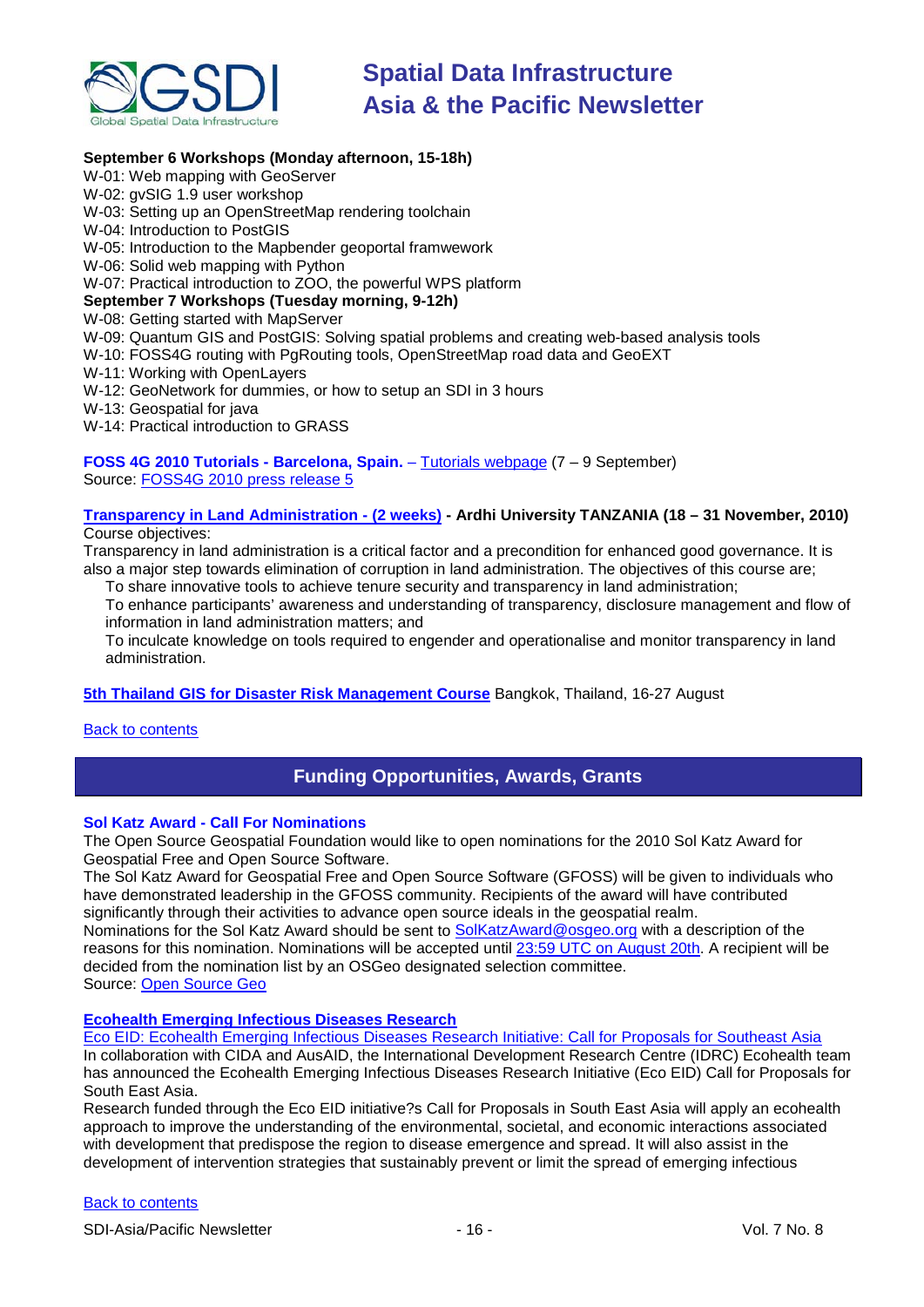

#### **September 6 Workshops (Monday afternoon, 15-18h)**

- W-01: Web mapping with GeoServer
- W-02: gvSIG 1.9 user workshop
- W-03: Setting up an OpenStreetMap rendering toolchain
- W-04: Introduction to PostGIS
- W-05: Introduction to the Mapbender geoportal framwework
- W-06: Solid web mapping with Python
- W-07: Practical introduction to ZOO, the powerful WPS platform

#### **September 7 Workshops (Tuesday morning, 9-12h)**

- W-08: Getting started with MapServer
- W-09: Quantum GIS and PostGIS: Solving spatial problems and creating web-based analysis tools
- W-10: FOSS4G routing with PgRouting tools, OpenStreetMap road data and GeoEXT
- W-11: Working with OpenLayers
- W-12: GeoNetwork for dummies, or how to setup an SDI in 3 hours
- W-13: Geospatial for java
- W-14: Practical introduction to GRASS

**FOSS 4G 2010 Tutorials - Barcelona, Spain.** – [Tutorials webpage](http://2010.foss4g.org/tutorial01.php) (7 – 9 September) Source: FOSS4G [2010 press release 5](http://wiki.osgeo.org/wiki/FOSS4G_2010_Press_Release_5)

#### **[Transparency in Land Administration -](http://www.aru.ac.tz/page.php?id=136) (2 weeks) - Ardhi University TANZANIA (18 – 31 November, 2010)** Course objectives:

Transparency in land administration is a critical factor and a precondition for enhanced good governance. It is also a major step towards elimination of corruption in land administration. The objectives of this course are;

To share innovative tools to achieve tenure security and transparency in land administration; To enhance participants' awareness and understanding of transparency, disclosure management and flow of

information in land administration matters; and

To inculcate knowledge on tools required to engender and operationalise and monitor transparency in land administration.

**[5th Thailand GIS for Disaster Risk Management Course](http://www.adpc.net/v2007/TRG/TRAINING%20COURSES/INTERNATIONAL%20COURSES/2010/GIS/Default.asp)** Bangkok, Thailand, 16-27 August

<span id="page-15-0"></span>[Back to contents](#page-0-0)

### **Funding Opportunities, Awards, Grants**

#### **Sol Katz Award - Call For Nominations**

The Open Source Geospatial Foundation would like to open nominations for the 2010 Sol Katz Award for Geospatial Free and Open Source Software.

The Sol Katz Award for Geospatial Free and Open Source Software (GFOSS) will be given to individuals who have demonstrated leadership in the GFOSS community. Recipients of the award will have contributed significantly through their activities to advance open source ideals in the geospatial realm.

Nominations for the Sol Katz Award should be sent to [SolKatzAward@osgeo.org](mailto:SolKatzAward@osgeo.org) with a description of the reasons for this nomination. Nominations will be accepted until [23:59 UTC on August 20th.](http://www.timeanddate.com/worldclock/fixedtime.html?month=8&day=20&year=2010&hour=23&min=59&sec=59) A recipient will be decided from the nomination list by an OSGeo designated selection committee. Source: [Open Source Geo](http://www.osgeo.org/node/1057)

#### **[Ecohealth Emerging Infectious Diseases Research](http://www.idrc.ca/en/ev-151369-201-1-DO_TOPIC.html)**

[Eco EID: Ecohealth Emerging Infectious Diseases Research Initiative: Call for Proposals for Southeast Asia](http://www.idrc.ca/uploads/user-S/12771294741Eco_EID_Call_for_Research_Proposals_EN.pdf) In collaboration with CIDA and AusAID, the International Development Research Centre (IDRC) Ecohealth team has announced the Ecohealth Emerging Infectious Diseases Research Initiative (Eco EID) Call for Proposals for South East Asia.

Research funded through the Eco EID initiative?s Call for Proposals in South East Asia will apply an ecohealth approach to improve the understanding of the environmental, societal, and economic interactions associated with development that predispose the region to disease emergence and spread. It will also assist in the development of intervention strategies that sustainably prevent or limit the spread of emerging infectious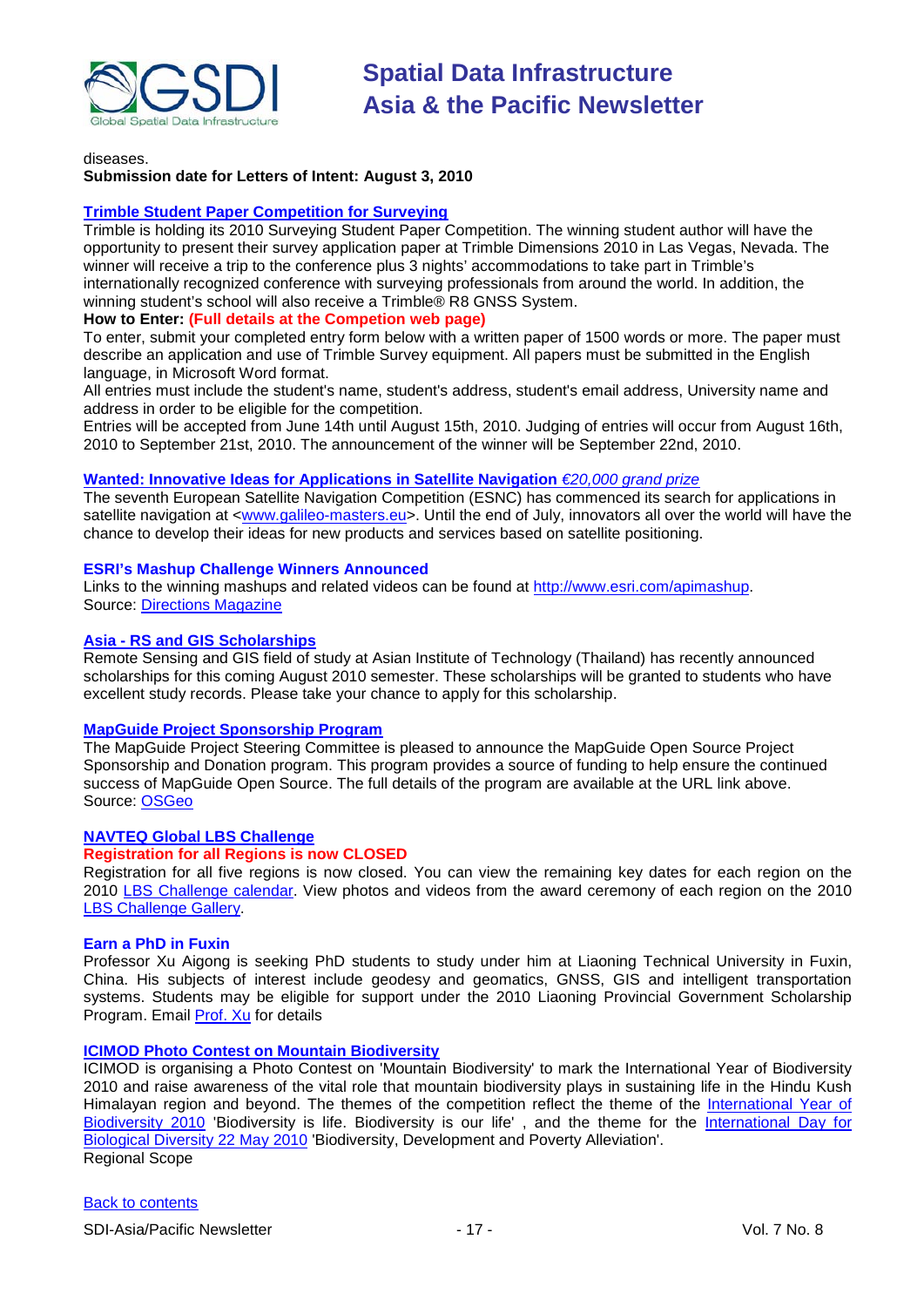

diseases.

#### **Submission date for Letters of Intent: August 3, 2010**

#### **[Trimble Student Paper Competition for Surveying](http://www.trimbledimensions.com/StudentPaperPromotion/default.aspx)**

Trimble is holding its 2010 Surveying Student Paper Competition. The winning student author will have the opportunity to present their survey application paper at Trimble Dimensions 2010 in Las Vegas, Nevada. The winner will receive a trip to the conference plus 3 nights' accommodations to take part in Trimble's internationally recognized conference with surveying professionals from around the world. In addition, the winning student's school will also receive a Trimble® R8 GNSS System.

#### **How to Enter: (Full details at the Competion web page)**

To enter, submit your completed entry form below with a written paper of 1500 words or more. The paper must describe an application and use of Trimble Survey equipment. All papers must be submitted in the English language, in Microsoft Word format.

All entries must include the student's name, student's address, student's email address, University name and address in order to be eligible for the competition.

Entries will be accepted from June 14th until August 15th, 2010. Judging of entries will occur from August 16th, 2010 to September 21st, 2010. The announcement of the winner will be September 22nd, 2010.

#### **Wanted: Innovative [Ideas for Applications in Satellite Navigation](http://www.galileo-masters.eu/index.php?kat=press.html&anzeige=press27.html)** *€20,000 grand prize*

The seventh European Satellite Navigation Competition (ESNC) has commenced its search for applications in satellite navigation at [<www.galileo-masters.eu>](http://www.galileo-masters.eu/). Until the end of July, innovators all over the world will have the chance to develop their ideas for new products and services based on satellite positioning.

#### **ESRI's Mashup Challenge Winners Announced**

Links to the winning mashups and related videos can be found at [http://www.esri.com/apimashup.](http://www.esri.com/software/mapping_for_everyone/api/mashup.html) Source: [Directions Magazine](http://www.directionsmag.com/press.releases/?duty=Show&id=45995)

#### **Asia - [RS and GIS Scholarships](http://www.ait.ac.th/AIT/admissions/Current_Scholarships)**

Remote Sensing and GIS field of study at Asian Institute of Technology (Thailand) has recently announced scholarships for this coming August 2010 semester. These scholarships will be granted to students who have excellent study records. Please take your chance to apply for this scholarship.

#### **[MapGuide Project Sponsorship Program](http://mapguide.osgeo.org/sponsorship)**

The MapGuide Project Steering Committee is pleased to announce the MapGuide Open Source Project Sponsorship and Donation program. This program provides a source of funding to help ensure the continued success of MapGuide Open Source. The full details of the program are available at the URL link above. Source: [OSGeo](http://www.osgeo.org/node/978)

#### **[NAVTEQ Global LBS](http://developer.navteq.com/site/global/market/lbs_challenge/p_lbs_home.jsp) Challenge**

#### **Registration for all Regions is now CLOSED**

Registration for all five regions is now closed. You can view the remaining key dates for each region [on the](http://www.nn4d.com/site/global/market/lbs_challenge/about/key_dates/p_key_dates.jsp)  [2010 LBS Challenge calendar. V](http://www.nn4d.com/site/global/market/lbs_challenge/about/key_dates/p_key_dates.jsp)iew photos and videos from the award ceremony of each region on the 2010 [LBS Challenge Gallery.](http://www.nn4d.com/site/global/market/lbs_challenge/gallery/2010_lbschallenge/p_2010lbschallenge.jsp)

#### **Earn a PhD in Fuxin**

Professor Xu Aigong is seeking PhD students to study under him at Liaoning Technical University in Fuxin, China. His subjects of interest include geodesy and geomatics, GNSS, GIS and intelligent transportation systems. Students may be eligible for support under the 2010 Liaoning Provincial Government Scholarship Program. Email [Prof. Xu](mailto:%22xu_ag@126.com%22) for details

#### **[ICIMOD Photo Contest on Mountain Biodiversity](http://www.icimod.org/photocontest/2010/page/about)**

ICIMOD is organising a Photo Contest on 'Mountain Biodiversity' to mark the International Year of Biodiversity 2010 and raise awareness of the vital role that mountain biodiversity plays in sustaining life in the Hindu Kush Himalayan region and beyond. The themes of the competition reflect the theme of the [International Year of](http://www.cbd.int/2010/welcome/)  [Biodiversity 2010](http://www.cbd.int/2010/welcome/) 'Biodiversity is life. Biodiversity is our life', and the theme for the International Day for [Biological Diversity 22 May 2010](http://www.cbd.int/idb/2010/) 'Biodiversity, Development and Poverty Alleviation'. Regional Scope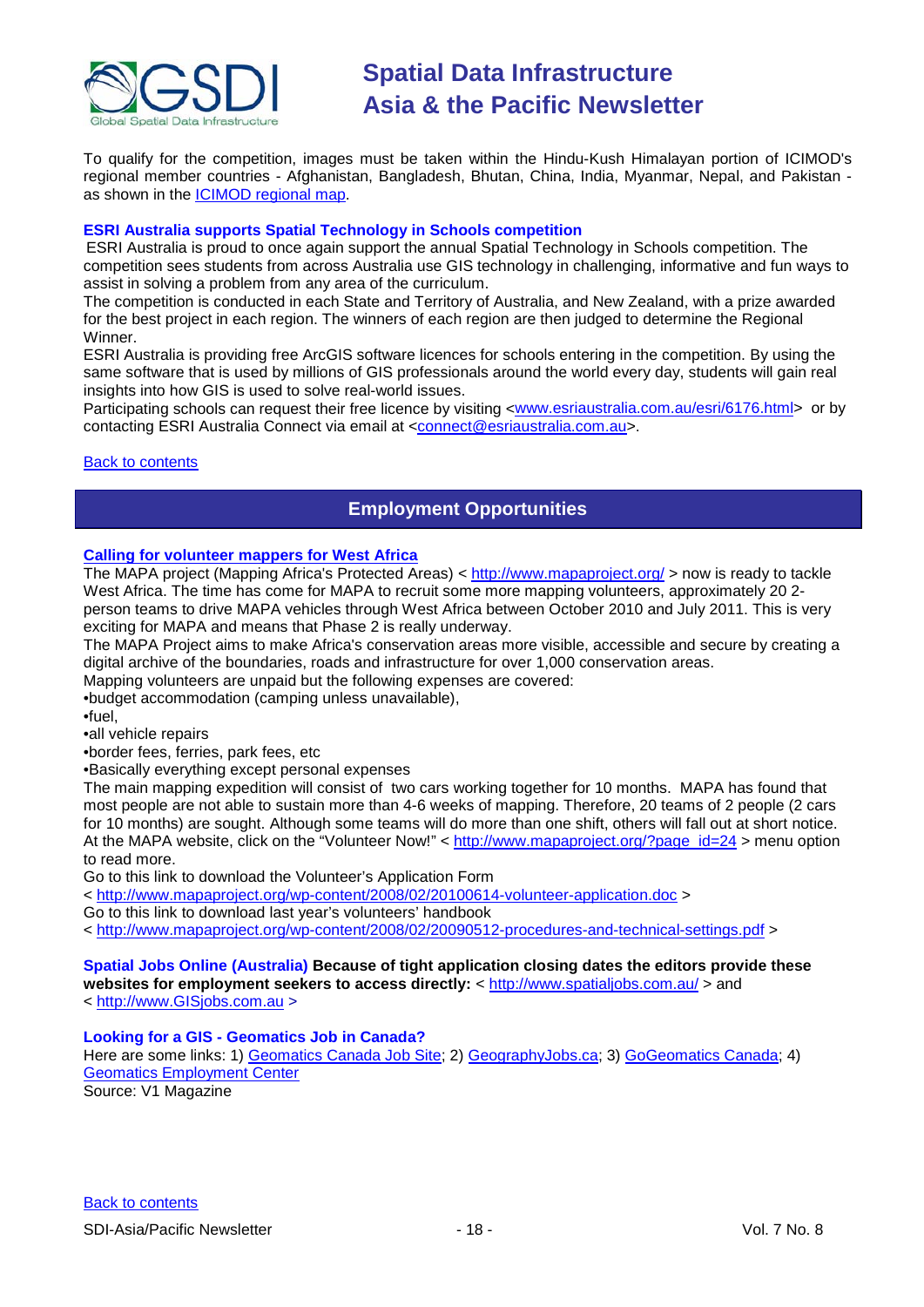

To qualify for the competition, images must be taken within the Hindu-Kush Himalayan portion of ICIMOD's regional member countries - Afghanistan, Bangladesh, Bhutan, China, India, Myanmar, Nepal, and Pakistan as shown in the [ICIMOD regional map.](http://www.icimod.org/index.php?page=43)

#### **ESRI Australia supports Spatial Technology in Schools competition**

ESRI Australia is proud to once again support the annual Spatial Technology in Schools competition. The competition sees students from across Australia use GIS technology in challenging, informative and fun ways to assist in solving a problem from any area of the curriculum.

The competition is conducted in each State and Territory of Australia, and New Zealand, with a prize awarded for the best project in each region. The winners of each region are then judged to determine the Regional Winner.

ESRI Australia is providing free ArcGIS software licences for schools entering in the competition. By using the same software that is used by millions of GIS professionals around the world every day, students will gain real insights into how GIS is used to solve real-world issues.

Participating schools can request their free licence by visiting [<www.esriaustralia.com.au/esri/6176.html>](http://www.esriaustralia.com.au/esri/6176.html) or by contacting ESRI Australia Connect via email at [<connect@esriaustralia.com.au>](mailto:connect@esriaustralia.com.au).

#### <span id="page-17-0"></span>**[Back to contents](#page-0-0)**

### **Employment Opportunities**

#### **[Calling for volunteer mappers for West Africa](http://www.mapaproject.org/?p=599)**

The MAPA project (Mapping Africa's Protected Areas) <<http://www.mapaproject.org/> > now is ready to tackle West Africa. The time has come for MAPA to recruit some more mapping volunteers, approximately 20 2 person teams to drive MAPA vehicles through West Africa between October 2010 and July 2011. This is very exciting for MAPA and means that Phase 2 is really underway.

The MAPA Project aims to make Africa's conservation areas more visible, accessible and secure by creating a digital archive of the boundaries, roads and infrastructure for over 1,000 conservation areas.

Mapping volunteers are unpaid but the following expenses are covered:

•budget accommodation (camping unless unavailable),

•fuel,

•all vehicle repairs

•border fees, ferries, park fees, etc

•Basically everything except personal expenses

The main mapping expedition will consist of two cars working together for 10 months. MAPA has found that most people are not able to sustain more than 4-6 weeks of mapping. Therefore, 20 teams of 2 people (2 cars for 10 months) are sought. Although some teams will do more than one shift, others will fall out at short notice. At the MAPA website, click on the "Volunteer Now!" < [http://www.mapaproject.org/?page\\_id=24](http://www.mapaproject.org/?page_id=24) > menu option to read more.

Go to this link to download the Volunteer's Application Form

<<http://www.mapaproject.org/wp-content/2008/02/20100614-volunteer-application.doc> >

Go to this link to download last year's volunteers' handbook

<<http://www.mapaproject.org/wp-content/2008/02/20090512-procedures-and-technical-settings.pdf> >

**Spatial Jobs Online (Australia) Because of tight application closing dates the editors provide these**  websites for employment seekers to access directly: <<http://www.spatialjobs.com.au/> > and

< [http://www.GISjobs.com.au](http://www.gisjobs.com.au/) >

#### **Looking for a GIS - Geomatics Job in Canada?**

Here are some links: 1) [Geomatics Canada Job Site;](http://geomaticscanada.com/jobs.cfm) 2) [GeographyJobs.ca;](http://www.geographyjobs.ca/) 3) [GoGeomatics Canada;](http://canada.gogeomatics.net/frmHome.aspx) 4) [Geomatics Employment Center](http://gisjobs.ca/)

Source: V1 Magazine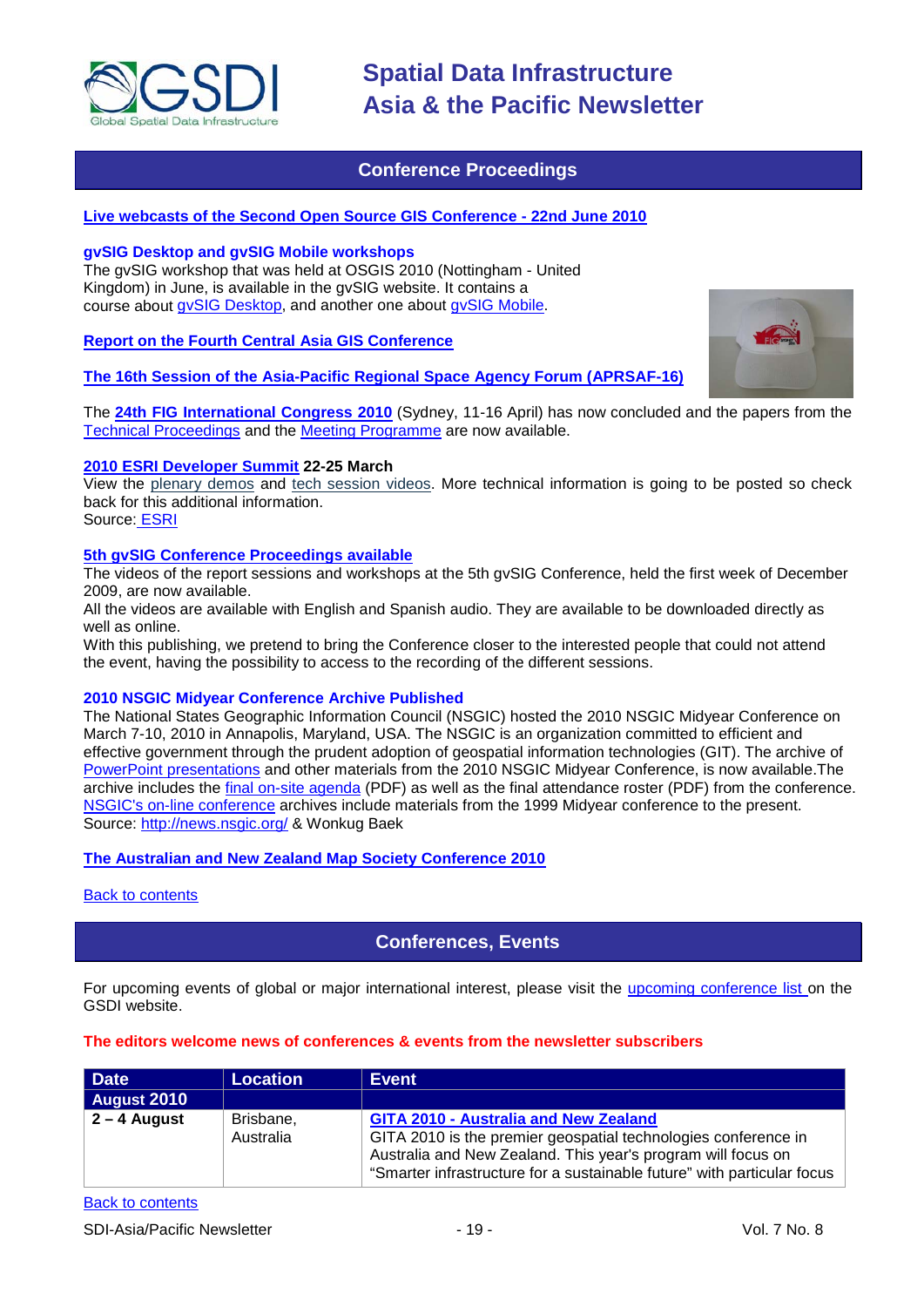

### **Conference Proceedings**

#### <span id="page-18-0"></span>**[Live webcasts of the Second Open Source GIS Conference -](http://cgs.nottingham.ac.uk/~osgis10/os_home.html) 22nd June 2010**

#### **gvSIG Desktop and gvSIG Mobile workshops**

The gvSIG workshop that was held at OSGIS 2010 (Nottingham - United Kingdom) in June, is available in the gvSIG website. It contains a course about [gvSIG Desktop,](http://www.gvsig.org/web/docusr/learning/gvsig-courses/gvsig_des_1.9_u_en/) and another one about [gvSIG Mobile.](http://www.gvsig.org/web/docusr/learning/gvsig-courses/gvsig_mob_0.3_u_en/)

#### **[Report on the Fourth Central](http://asmmag.com/features/report-on-the-fourth-central-asia-gis-conference) Asia GIS Conference**

#### **[The 16th Session of the Asia-Pacific Regional Space Agency Forum \(APRSAF-16\)](http://www.aprsaf.org/feature/feature_109.html)**

The **[24th FIG International Congress 2010](http://www.fig2010.com/)** (Sydney, 11-16 April) has now concluded and the papers from the [Technical Proceedings](http://www.fig.net/pub/fig2010/techprog.htm) and the [Meeting Programme](http://www.fig.net/pub/fig2010/meetprog.htm) are now available.

#### **[2010 ESRI Developer Summit](http://www.esri.com/events/devsummit/index.html) 22-25 March**

View the [plenary demos](http://www.esri.com/events/devsummit/videos/index.html) and [tech session videos.](http://www.esri.com/events/devsummit/tech-session-videos/index.html) More technical information is going to be posted so check back for this additional information.

Source: [ESRI](http://www.esri.com/events/devsummit/index.html)

#### **[5th gvSIG Conference Proceedings available](http://jornadas.gvsig.org/comunicaciones/reports)**

The videos of the report sessions and workshops at the 5th gvSIG Conference, held the first week of December 2009, are now available.

All the videos are available with English and Spanish audio. They are available to be downloaded directly as well as online.

With this publishing, we pretend to bring the Conference closer to the interested people that could not attend the event, having the possibility to access to the recording of the different sessions.

#### **2010 NSGIC Midyear Conference Archive Published**

The National States Geographic Information Council (NSGIC) hosted the 2010 NSGIC Midyear Conference on March 7-10, 2010 in Annapolis, Maryland, USA. The NSGIC is an organization committed to efficient and effective government through the prudent adoption of geospatial information technologies (GIT). The archive of [PowerPoint presentations](http://www.nsgic.org/events/2010_midyear.cfm) and other materials from the 2010 NSGIC Midyear Conference, is now available.The archive includes the [final on-site agenda](http://www.nsgic.org/events/2010midyear/OnsiteAgenda.pdf) (PDF) as well as the final attendance roster (PDF) from the conference. [NSGIC's on-line conference](http://www.nsgic.org/events/archives.cfm) archives include materials from the 1999 Midyear conference to the present. Source:<http://news.nsgic.org/> & Wonkug Baek

#### **[The Australian and New Zealand Map Society Conference 2010](http://blogs.slq.qld.gov.au/jol/2010/05/14/the-australian-and-new-zealand-map-society-conference-2010/)**

<span id="page-18-1"></span>[Back to contents](#page-0-0)

### **Conferences, Events**

For upcoming events of global or major international interest, please visit the [upcoming conference list o](http://gsdi.org/events/upcnf.asp)n the GSDI website.

#### **The editors welcome news of conferences & events from the newsletter subscribers**

| Date               | Location  | <b>Event</b>                                                            |
|--------------------|-----------|-------------------------------------------------------------------------|
| <b>August 2010</b> |           |                                                                         |
| $2 - 4$ August     | Brisbane, | <b>GITA 2010 - Australia and New Zealand</b>                            |
|                    | Australia | GITA 2010 is the premier geospatial technologies conference in          |
|                    |           | Australia and New Zealand. This year's program will focus on            |
|                    |           | "Smarter infrastructure for a sustainable future" with particular focus |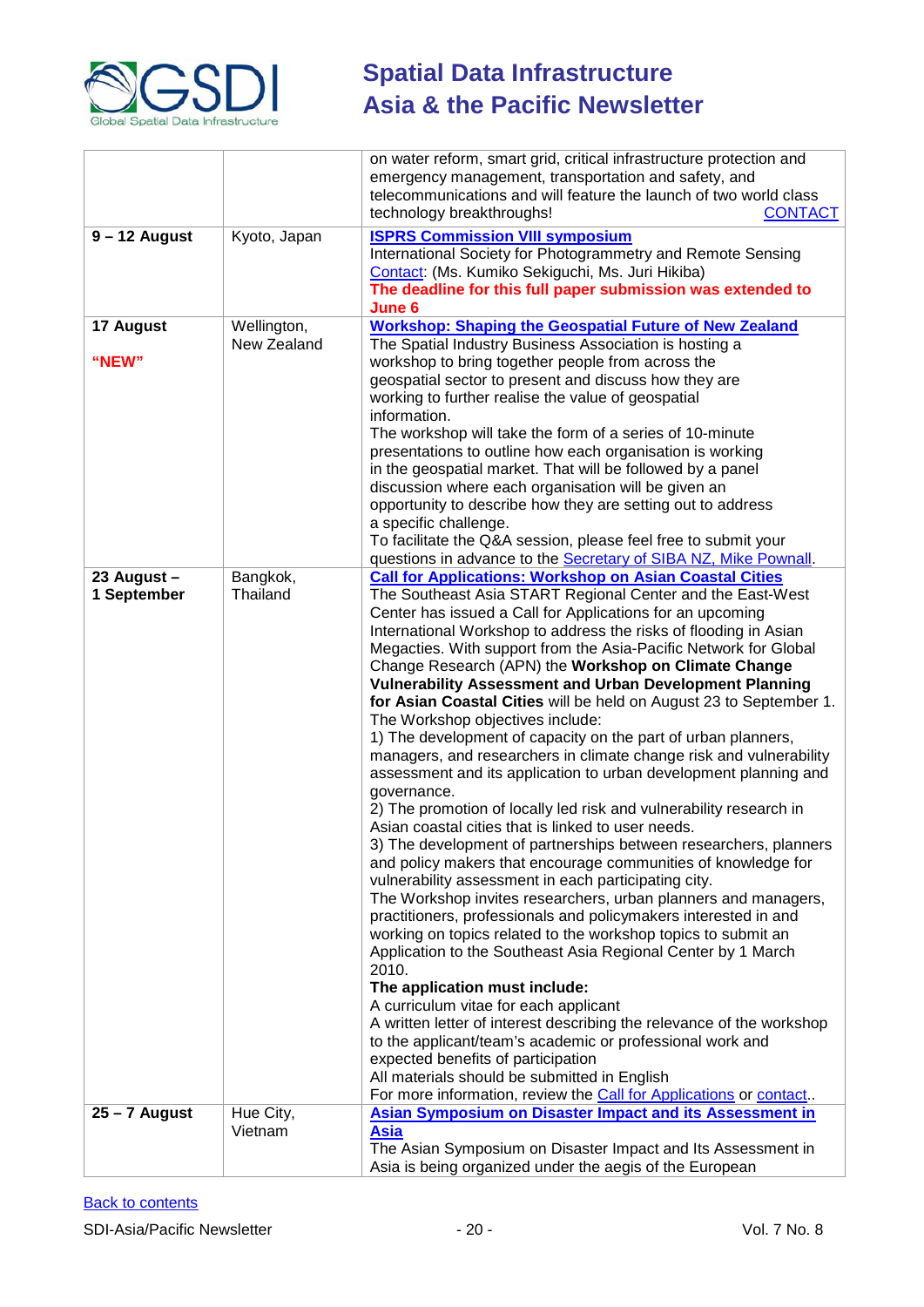

|                 |              | on water reform, smart grid, critical infrastructure protection and<br>emergency management, transportation and safety, and<br>telecommunications and will feature the launch of two world class<br>technology breakthroughs!<br><b>CONTACT</b> |
|-----------------|--------------|-------------------------------------------------------------------------------------------------------------------------------------------------------------------------------------------------------------------------------------------------|
| $9 - 12$ August | Kyoto, Japan | <b>ISPRS Commission VIII symposium</b>                                                                                                                                                                                                          |
|                 |              | International Society for Photogrammetry and Remote Sensing                                                                                                                                                                                     |
|                 |              |                                                                                                                                                                                                                                                 |
|                 |              | Contact: (Ms. Kumiko Sekiguchi, Ms. Juri Hikiba)                                                                                                                                                                                                |
|                 |              | The deadline for this full paper submission was extended to                                                                                                                                                                                     |
|                 |              | June 6                                                                                                                                                                                                                                          |
| 17 August       | Wellington,  | <b>Workshop: Shaping the Geospatial Future of New Zealand</b>                                                                                                                                                                                   |
|                 | New Zealand  | The Spatial Industry Business Association is hosting a                                                                                                                                                                                          |
| "NEW"           |              | workshop to bring together people from across the                                                                                                                                                                                               |
|                 |              |                                                                                                                                                                                                                                                 |
|                 |              | geospatial sector to present and discuss how they are                                                                                                                                                                                           |
|                 |              | working to further realise the value of geospatial                                                                                                                                                                                              |
|                 |              | information.                                                                                                                                                                                                                                    |
|                 |              | The workshop will take the form of a series of 10-minute                                                                                                                                                                                        |
|                 |              | presentations to outline how each organisation is working                                                                                                                                                                                       |
|                 |              |                                                                                                                                                                                                                                                 |
|                 |              | in the geospatial market. That will be followed by a panel                                                                                                                                                                                      |
|                 |              | discussion where each organisation will be given an                                                                                                                                                                                             |
|                 |              | opportunity to describe how they are setting out to address                                                                                                                                                                                     |
|                 |              | a specific challenge.                                                                                                                                                                                                                           |
|                 |              | To facilitate the Q&A session, please feel free to submit your                                                                                                                                                                                  |
|                 |              | questions in advance to the Secretary of SIBA NZ, Mike Pownall.                                                                                                                                                                                 |
| 23 August -     | Bangkok,     | <b>Call for Applications: Workshop on Asian Coastal Cities</b>                                                                                                                                                                                  |
|                 |              |                                                                                                                                                                                                                                                 |
| 1 September     | Thailand     | The Southeast Asia START Regional Center and the East-West                                                                                                                                                                                      |
|                 |              | Center has issued a Call for Applications for an upcoming                                                                                                                                                                                       |
|                 |              | International Workshop to address the risks of flooding in Asian                                                                                                                                                                                |
|                 |              | Megacties. With support from the Asia-Pacific Network for Global                                                                                                                                                                                |
|                 |              | Change Research (APN) the Workshop on Climate Change                                                                                                                                                                                            |
|                 |              | <b>Vulnerability Assessment and Urban Development Planning</b>                                                                                                                                                                                  |
|                 |              | for Asian Coastal Cities will be held on August 23 to September 1.                                                                                                                                                                              |
|                 |              | The Workshop objectives include:                                                                                                                                                                                                                |
|                 |              |                                                                                                                                                                                                                                                 |
|                 |              | 1) The development of capacity on the part of urban planners,                                                                                                                                                                                   |
|                 |              | managers, and researchers in climate change risk and vulnerability                                                                                                                                                                              |
|                 |              | assessment and its application to urban development planning and                                                                                                                                                                                |
|                 |              | governance.                                                                                                                                                                                                                                     |
|                 |              | 2) The promotion of locally led risk and vulnerability research in                                                                                                                                                                              |
|                 |              | Asian coastal cities that is linked to user needs.                                                                                                                                                                                              |
|                 |              | 3) The development of partnerships between researchers, planners                                                                                                                                                                                |
|                 |              | and policy makers that encourage communities of knowledge for                                                                                                                                                                                   |
|                 |              | vulnerability assessment in each participating city.                                                                                                                                                                                            |
|                 |              |                                                                                                                                                                                                                                                 |
|                 |              | The Workshop invites researchers, urban planners and managers,                                                                                                                                                                                  |
|                 |              | practitioners, professionals and policymakers interested in and                                                                                                                                                                                 |
|                 |              | working on topics related to the workshop topics to submit an                                                                                                                                                                                   |
|                 |              | Application to the Southeast Asia Regional Center by 1 March                                                                                                                                                                                    |
|                 |              | 2010.                                                                                                                                                                                                                                           |
|                 |              | The application must include:                                                                                                                                                                                                                   |
|                 |              | A curriculum vitae for each applicant                                                                                                                                                                                                           |
|                 |              | A written letter of interest describing the relevance of the workshop                                                                                                                                                                           |
|                 |              | to the applicant/team's academic or professional work and                                                                                                                                                                                       |
|                 |              |                                                                                                                                                                                                                                                 |
|                 |              | expected benefits of participation                                                                                                                                                                                                              |
|                 |              | All materials should be submitted in English                                                                                                                                                                                                    |
|                 |              | For more information, review the Call for Applications or contact.                                                                                                                                                                              |
| $25 - 7$ August | Hue City,    | <b>Asian Symposium on Disaster Impact and its Assessment in</b>                                                                                                                                                                                 |
|                 | Vietnam      | <b>Asia</b>                                                                                                                                                                                                                                     |
|                 |              | The Asian Symposium on Disaster Impact and Its Assessment in                                                                                                                                                                                    |
|                 |              | Asia is being organized under the aegis of the European                                                                                                                                                                                         |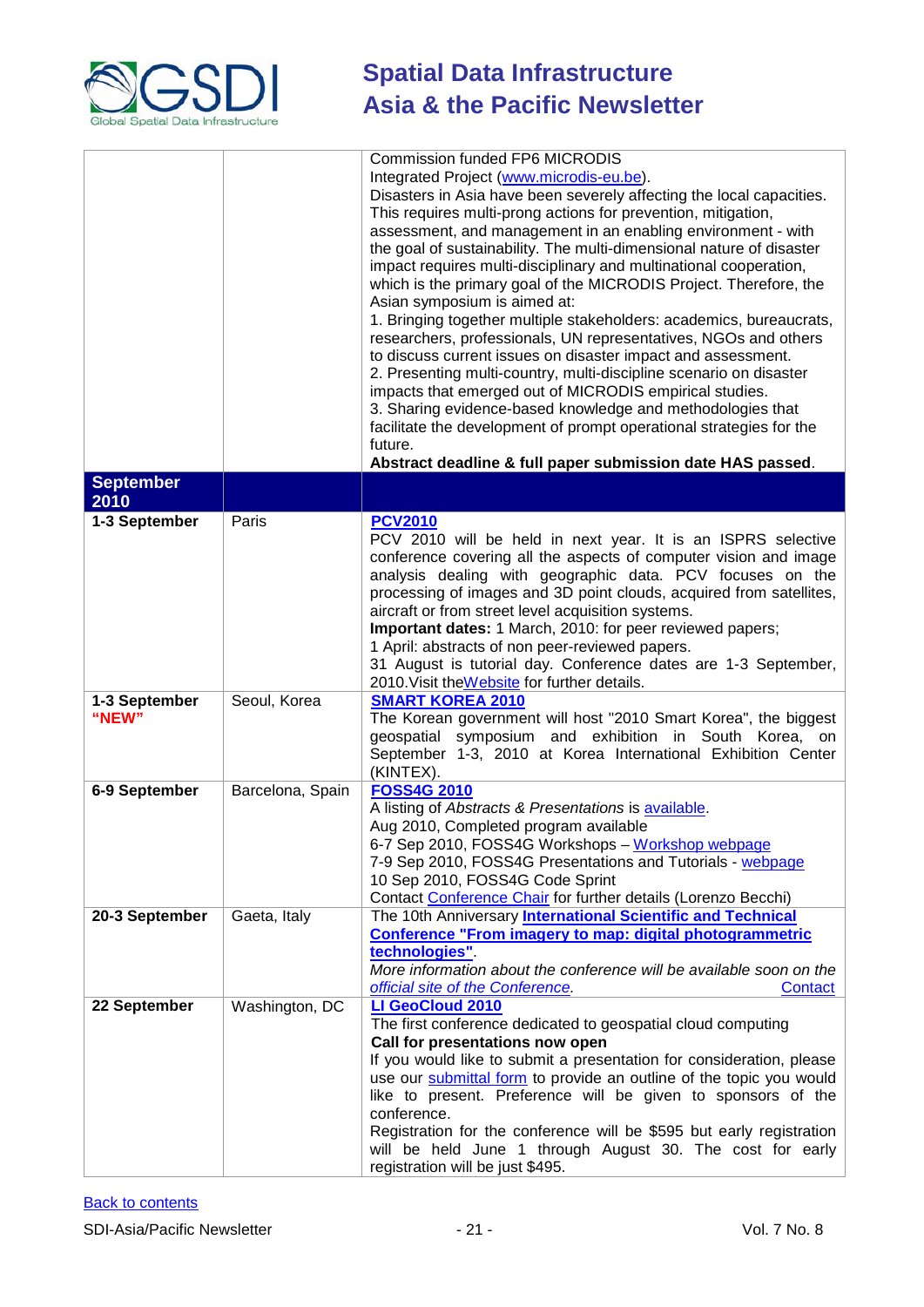

|                        |                  | <b>Commission funded FP6 MICRODIS</b><br>Integrated Project (www.microdis-eu.be).<br>Disasters in Asia have been severely affecting the local capacities.<br>This requires multi-prong actions for prevention, mitigation,<br>assessment, and management in an enabling environment - with<br>the goal of sustainability. The multi-dimensional nature of disaster<br>impact requires multi-disciplinary and multinational cooperation,<br>which is the primary goal of the MICRODIS Project. Therefore, the<br>Asian symposium is aimed at:<br>1. Bringing together multiple stakeholders: academics, bureaucrats,<br>researchers, professionals, UN representatives, NGOs and others<br>to discuss current issues on disaster impact and assessment.<br>2. Presenting multi-country, multi-discipline scenario on disaster<br>impacts that emerged out of MICRODIS empirical studies.<br>3. Sharing evidence-based knowledge and methodologies that<br>facilitate the development of prompt operational strategies for the<br>future.<br>Abstract deadline & full paper submission date HAS passed. |
|------------------------|------------------|-------------------------------------------------------------------------------------------------------------------------------------------------------------------------------------------------------------------------------------------------------------------------------------------------------------------------------------------------------------------------------------------------------------------------------------------------------------------------------------------------------------------------------------------------------------------------------------------------------------------------------------------------------------------------------------------------------------------------------------------------------------------------------------------------------------------------------------------------------------------------------------------------------------------------------------------------------------------------------------------------------------------------------------------------------------------------------------------------------|
| <b>September</b>       |                  |                                                                                                                                                                                                                                                                                                                                                                                                                                                                                                                                                                                                                                                                                                                                                                                                                                                                                                                                                                                                                                                                                                       |
| 2010<br>1-3 September  | Paris            | <b>PCV2010</b><br>PCV 2010 will be held in next year. It is an ISPRS selective<br>conference covering all the aspects of computer vision and image<br>analysis dealing with geographic data. PCV focuses on the                                                                                                                                                                                                                                                                                                                                                                                                                                                                                                                                                                                                                                                                                                                                                                                                                                                                                       |
|                        |                  | processing of images and 3D point clouds, acquired from satellites,<br>aircraft or from street level acquisition systems.<br>Important dates: 1 March, 2010: for peer reviewed papers;<br>1 April: abstracts of non peer-reviewed papers.<br>31 August is tutorial day. Conference dates are 1-3 September,<br>2010. Visit the Website for further details.                                                                                                                                                                                                                                                                                                                                                                                                                                                                                                                                                                                                                                                                                                                                           |
| 1-3 September<br>"NEW" | Seoul, Korea     | <b>SMART KOREA 2010</b><br>The Korean government will host "2010 Smart Korea", the biggest<br>geospatial symposium and exhibition in South Korea, on<br>September 1-3, 2010 at Korea International Exhibition Center<br>(KINTEX).                                                                                                                                                                                                                                                                                                                                                                                                                                                                                                                                                                                                                                                                                                                                                                                                                                                                     |
| 6-9 September          | Barcelona, Spain | <b>FOSS4G 2010</b><br>A listing of Abstracts & Presentations is available.<br>Aug 2010, Completed program available<br>6-7 Sep 2010, FOSS4G Workshops - Workshop webpage<br>7-9 Sep 2010, FOSS4G Presentations and Tutorials - webpage<br>10 Sep 2010, FOSS4G Code Sprint<br>Contact Conference Chair for further details (Lorenzo Becchi)                                                                                                                                                                                                                                                                                                                                                                                                                                                                                                                                                                                                                                                                                                                                                            |
| 20-3 September         | Gaeta, Italy     | The 10th Anniversary International Scientific and Technical<br><b>Conference "From imagery to map: digital photogrammetric</b><br>technologies".<br>More information about the conference will be available soon on the<br>official site of the Conference.<br>Contact                                                                                                                                                                                                                                                                                                                                                                                                                                                                                                                                                                                                                                                                                                                                                                                                                                |
| 22 September           | Washington, DC   | LI GeoCloud 2010<br>The first conference dedicated to geospatial cloud computing<br>Call for presentations now open<br>If you would like to submit a presentation for consideration, please<br>use our submittal form to provide an outline of the topic you would<br>like to present. Preference will be given to sponsors of the<br>conference.<br>Registration for the conference will be \$595 but early registration<br>will be held June 1 through August 30. The cost for early<br>registration will be just \$495.                                                                                                                                                                                                                                                                                                                                                                                                                                                                                                                                                                            |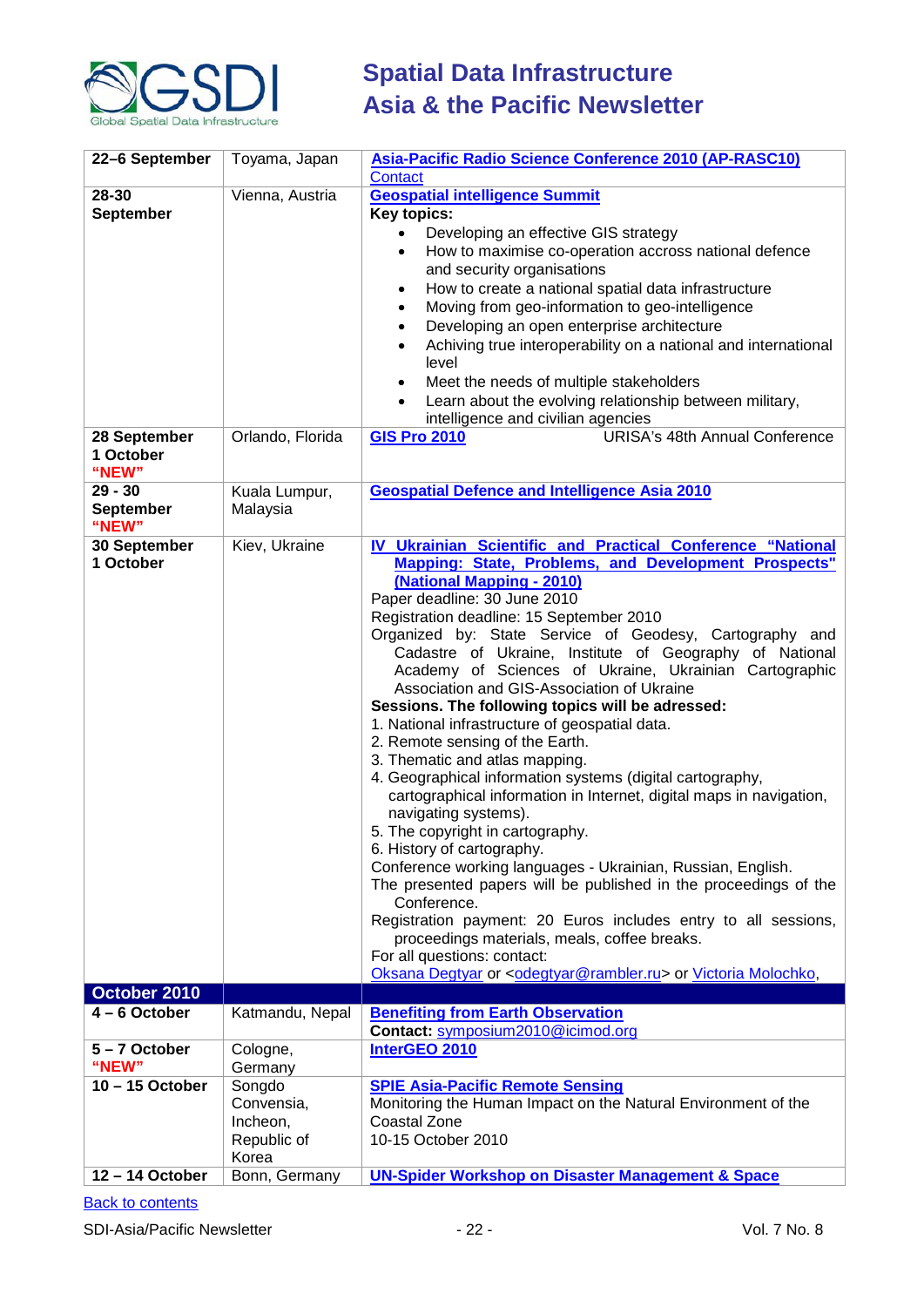

| 22-6 September                         | Toyama, Japan                                            | Asia-Pacific Radio Science Conference 2010 (AP-RASC10)<br>Contact                                                                                                                                                                                                                                                                                                                                                                                                                                                                                                                                                                                                                                                                                                                                                                                                                                                                                                                                                                                                                                                                                                                                                                                            |
|----------------------------------------|----------------------------------------------------------|--------------------------------------------------------------------------------------------------------------------------------------------------------------------------------------------------------------------------------------------------------------------------------------------------------------------------------------------------------------------------------------------------------------------------------------------------------------------------------------------------------------------------------------------------------------------------------------------------------------------------------------------------------------------------------------------------------------------------------------------------------------------------------------------------------------------------------------------------------------------------------------------------------------------------------------------------------------------------------------------------------------------------------------------------------------------------------------------------------------------------------------------------------------------------------------------------------------------------------------------------------------|
| 28-30<br><b>September</b>              | Vienna, Austria                                          | <b>Geospatial intelligence Summit</b><br><b>Key topics:</b><br>Developing an effective GIS strategy<br>$\bullet$<br>How to maximise co-operation accross national defence<br>$\bullet$<br>and security organisations<br>How to create a national spatial data infrastructure<br>٠<br>Moving from geo-information to geo-intelligence<br>$\bullet$<br>Developing an open enterprise architecture<br>$\bullet$<br>Achiving true interoperability on a national and international<br>$\bullet$<br>level<br>Meet the needs of multiple stakeholders<br>$\bullet$<br>Learn about the evolving relationship between military,<br>$\bullet$<br>intelligence and civilian agencies                                                                                                                                                                                                                                                                                                                                                                                                                                                                                                                                                                                   |
| 28 September<br>1 October<br>"NEW"     | Orlando, Florida                                         | <b>URISA's 48th Annual Conference</b><br><b>GIS Pro 2010</b>                                                                                                                                                                                                                                                                                                                                                                                                                                                                                                                                                                                                                                                                                                                                                                                                                                                                                                                                                                                                                                                                                                                                                                                                 |
| $29 - 30$<br><b>September</b><br>"NEW" | Kuala Lumpur,<br>Malaysia                                | <b>Geospatial Defence and Intelligence Asia 2010</b>                                                                                                                                                                                                                                                                                                                                                                                                                                                                                                                                                                                                                                                                                                                                                                                                                                                                                                                                                                                                                                                                                                                                                                                                         |
| 30 September<br>1 October              | Kiev, Ukraine                                            | IV Ukrainian Scientific and Practical Conference "National<br>Mapping: State, Problems, and Development Prospects"<br>(National Mapping - 2010)<br>Paper deadline: 30 June 2010<br>Registration deadline: 15 September 2010<br>Organized by: State Service of Geodesy, Cartography and<br>Cadastre of Ukraine, Institute of Geography of National<br>Academy of Sciences of Ukraine, Ukrainian Cartographic<br>Association and GIS-Association of Ukraine<br>Sessions. The following topics will be adressed:<br>1. National infrastructure of geospatial data.<br>2. Remote sensing of the Earth.<br>3. Thematic and atlas mapping.<br>4. Geographical information systems (digital cartography,<br>cartographical information in Internet, digital maps in navigation,<br>navigating systems).<br>5. The copyright in cartography.<br>6. History of cartography.<br>Conference working languages - Ukrainian, Russian, English.<br>The presented papers will be published in the proceedings of the<br>Conference.<br>Registration payment: 20 Euros includes entry to all sessions,<br>proceedings materials, meals, coffee breaks.<br>For all questions: contact:<br>Oksana Degtyar or <odegtyar@rambler.ru> or Victoria Molochko,</odegtyar@rambler.ru> |
| October 2010<br>$4 - 6$ October        | Katmandu, Nepal                                          | <b>Benefiting from Earth Observation</b>                                                                                                                                                                                                                                                                                                                                                                                                                                                                                                                                                                                                                                                                                                                                                                                                                                                                                                                                                                                                                                                                                                                                                                                                                     |
|                                        |                                                          | Contact: symposium2010@icimod.org                                                                                                                                                                                                                                                                                                                                                                                                                                                                                                                                                                                                                                                                                                                                                                                                                                                                                                                                                                                                                                                                                                                                                                                                                            |
| 5-7 October<br>"NEW"                   | Cologne,<br>Germany                                      | InterGEO 2010                                                                                                                                                                                                                                                                                                                                                                                                                                                                                                                                                                                                                                                                                                                                                                                                                                                                                                                                                                                                                                                                                                                                                                                                                                                |
| 10-15 October<br>12-14 October         | Songdo<br>Convensia,<br>Incheon,<br>Republic of<br>Korea | <b>SPIE Asia-Pacific Remote Sensing</b><br>Monitoring the Human Impact on the Natural Environment of the<br>Coastal Zone<br>10-15 October 2010                                                                                                                                                                                                                                                                                                                                                                                                                                                                                                                                                                                                                                                                                                                                                                                                                                                                                                                                                                                                                                                                                                               |
|                                        | Bonn, Germany                                            | <b>UN-Spider Workshop on Disaster Management &amp; Space</b>                                                                                                                                                                                                                                                                                                                                                                                                                                                                                                                                                                                                                                                                                                                                                                                                                                                                                                                                                                                                                                                                                                                                                                                                 |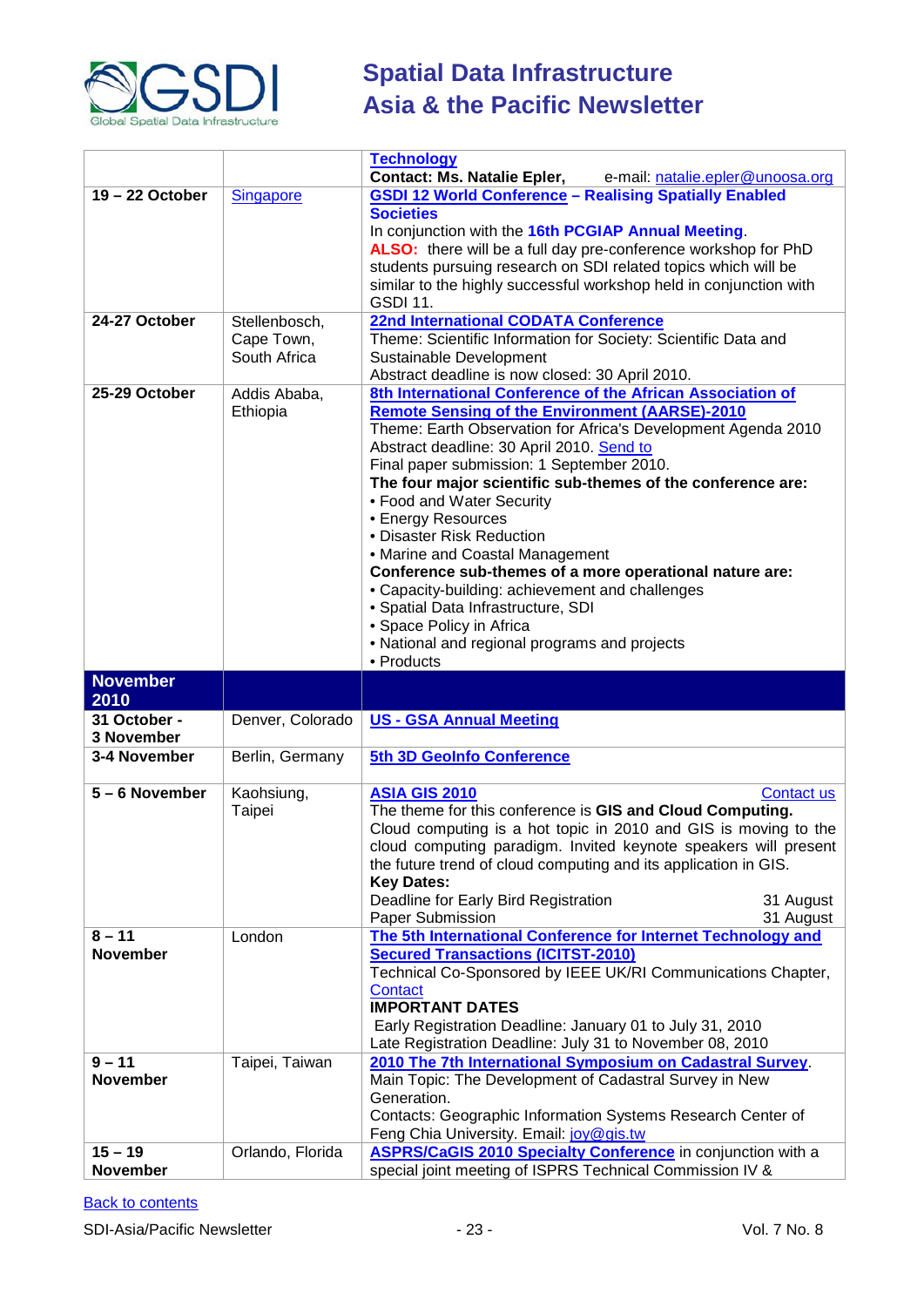

|                              |                  | <b>Technology</b>                                                                                                              |
|------------------------------|------------------|--------------------------------------------------------------------------------------------------------------------------------|
|                              |                  | <b>Contact: Ms. Natalie Epler,</b><br>e-mail: natalie.epler@unoosa.org                                                         |
| 19-22 October                | <b>Singapore</b> | <b>GSDI 12 World Conference - Realising Spatially Enabled</b>                                                                  |
|                              |                  | <b>Societies</b>                                                                                                               |
|                              |                  | In conjunction with the 16th PCGIAP Annual Meeting.                                                                            |
|                              |                  | ALSO: there will be a full day pre-conference workshop for PhD                                                                 |
|                              |                  | students pursuing research on SDI related topics which will be                                                                 |
|                              |                  | similar to the highly successful workshop held in conjunction with                                                             |
|                              |                  | <b>GSDI 11.</b>                                                                                                                |
| 24-27 October                | Stellenbosch,    | <b>22nd International CODATA Conference</b>                                                                                    |
|                              | Cape Town,       | Theme: Scientific Information for Society: Scientific Data and                                                                 |
|                              | South Africa     |                                                                                                                                |
|                              |                  | Sustainable Development                                                                                                        |
|                              |                  | Abstract deadline is now closed: 30 April 2010.                                                                                |
| 25-29 October                | Addis Ababa,     | 8th International Conference of the African Association of                                                                     |
|                              | Ethiopia         | <b>Remote Sensing of the Environment (AARSE)-2010</b>                                                                          |
|                              |                  | Theme: Earth Observation for Africa's Development Agenda 2010                                                                  |
|                              |                  | Abstract deadline: 30 April 2010. Send to                                                                                      |
|                              |                  | Final paper submission: 1 September 2010.                                                                                      |
|                              |                  | The four major scientific sub-themes of the conference are:                                                                    |
|                              |                  | • Food and Water Security                                                                                                      |
|                              |                  | • Energy Resources                                                                                                             |
|                              |                  | • Disaster Risk Reduction                                                                                                      |
|                              |                  | • Marine and Coastal Management                                                                                                |
|                              |                  | Conference sub-themes of a more operational nature are:                                                                        |
|                              |                  | • Capacity-building: achievement and challenges                                                                                |
|                              |                  | · Spatial Data Infrastructure, SDI                                                                                             |
|                              |                  | • Space Policy in Africa                                                                                                       |
|                              |                  | • National and regional programs and projects                                                                                  |
|                              |                  |                                                                                                                                |
|                              |                  |                                                                                                                                |
|                              |                  | • Products                                                                                                                     |
| <b>November</b>              |                  |                                                                                                                                |
| 2010<br>31 October -         |                  |                                                                                                                                |
| 3 November                   | Denver, Colorado | <b>US - GSA Annual Meeting</b>                                                                                                 |
|                              |                  |                                                                                                                                |
| 3-4 November                 | Berlin, Germany  | 5th 3D GeoInfo Conference                                                                                                      |
| $5 - 6$ November             |                  |                                                                                                                                |
|                              | Kaohsiung,       | <b>ASIA GIS 2010</b><br><b>Contact us</b>                                                                                      |
|                              | Taipei           | The theme for this conference is GIS and Cloud Computing.                                                                      |
|                              |                  | Cloud computing is a hot topic in 2010 and GIS is moving to the                                                                |
|                              |                  | cloud computing paradigm. Invited keynote speakers will present                                                                |
|                              |                  | the future trend of cloud computing and its application in GIS.                                                                |
|                              |                  | <b>Key Dates:</b>                                                                                                              |
|                              |                  | Deadline for Early Bird Registration<br>31 August                                                                              |
|                              |                  | Paper Submission<br>31 August                                                                                                  |
| $8 - 11$                     | London           | The 5th International Conference for Internet Technology and                                                                   |
| <b>November</b>              |                  | <b>Secured Transactions (ICITST-2010)</b>                                                                                      |
|                              |                  | Technical Co-Sponsored by IEEE UK/RI Communications Chapter,                                                                   |
|                              |                  | <b>Contact</b>                                                                                                                 |
|                              |                  | <b>IMPORTANT DATES</b>                                                                                                         |
|                              |                  | Early Registration Deadline: January 01 to July 31, 2010                                                                       |
|                              |                  | Late Registration Deadline: July 31 to November 08, 2010                                                                       |
| $9 - 11$                     | Taipei, Taiwan   | 2010 The 7th International Symposium on Cadastral Survey.                                                                      |
| <b>November</b>              |                  | Main Topic: The Development of Cadastral Survey in New                                                                         |
|                              |                  | Generation.                                                                                                                    |
|                              |                  | Contacts: Geographic Information Systems Research Center of                                                                    |
|                              |                  | Feng Chia University. Email: joy@gis.tw                                                                                        |
| $15 - 19$<br><b>November</b> | Orlando, Florida | <b>ASPRS/CaGIS 2010 Specialty Conference</b> in conjunction with a<br>special joint meeting of ISPRS Technical Commission IV & |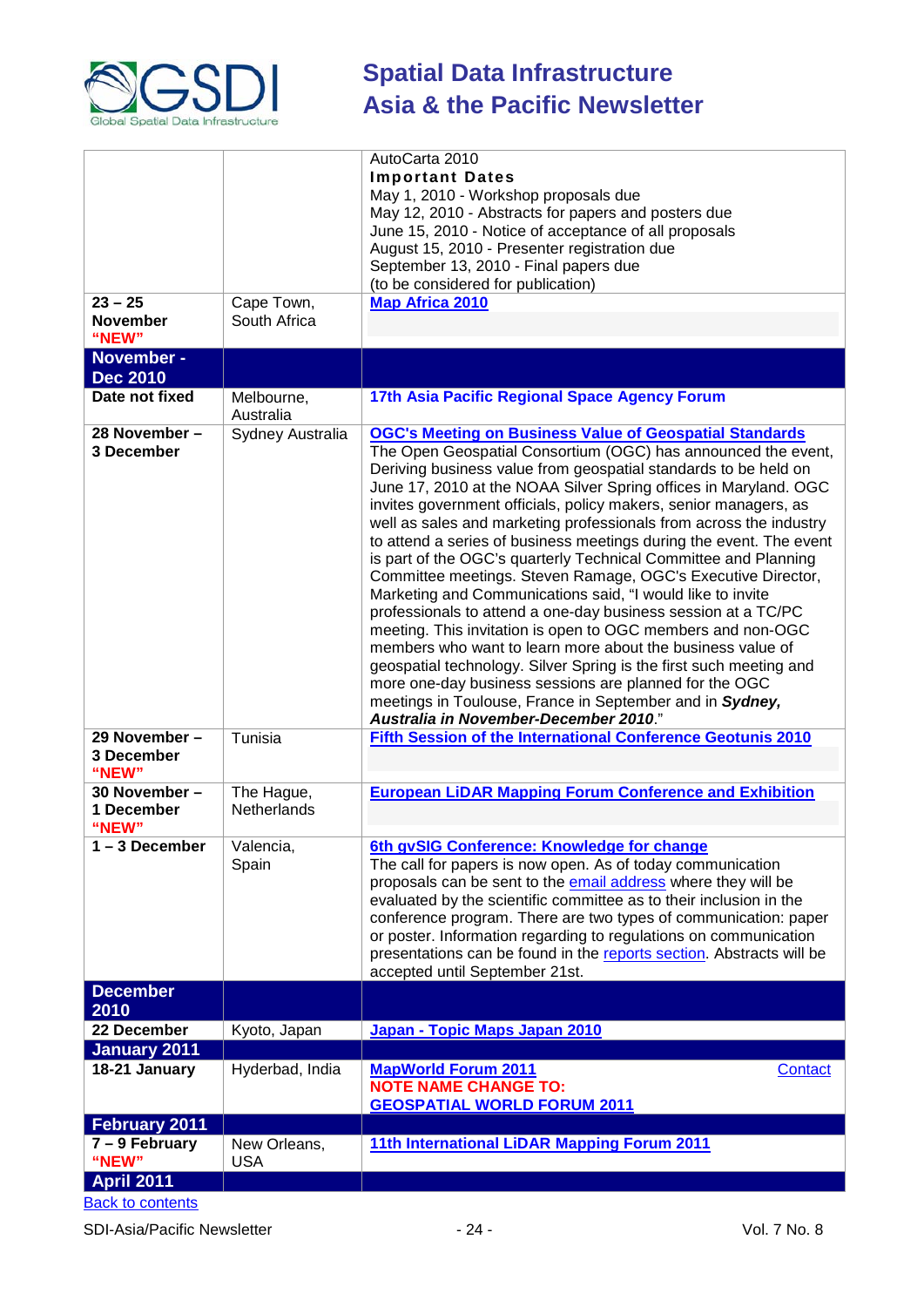

|                                             |                                  | AutoCarta 2010<br><b>Important Dates</b><br>May 1, 2010 - Workshop proposals due<br>May 12, 2010 - Abstracts for papers and posters due<br>June 15, 2010 - Notice of acceptance of all proposals                                                                                                                                                                                                                                                                                                                                                                                                                                                                                                                                                                                                                                                                                                                                                                                                                                                                                                                            |
|---------------------------------------------|----------------------------------|-----------------------------------------------------------------------------------------------------------------------------------------------------------------------------------------------------------------------------------------------------------------------------------------------------------------------------------------------------------------------------------------------------------------------------------------------------------------------------------------------------------------------------------------------------------------------------------------------------------------------------------------------------------------------------------------------------------------------------------------------------------------------------------------------------------------------------------------------------------------------------------------------------------------------------------------------------------------------------------------------------------------------------------------------------------------------------------------------------------------------------|
|                                             |                                  | August 15, 2010 - Presenter registration due<br>September 13, 2010 - Final papers due<br>(to be considered for publication)                                                                                                                                                                                                                                                                                                                                                                                                                                                                                                                                                                                                                                                                                                                                                                                                                                                                                                                                                                                                 |
| $23 - 25$<br><b>November</b><br>"NEW"       | Cape Town,<br>South Africa       | <b>Map Africa 2010</b>                                                                                                                                                                                                                                                                                                                                                                                                                                                                                                                                                                                                                                                                                                                                                                                                                                                                                                                                                                                                                                                                                                      |
| November -<br><b>Dec 2010</b>               |                                  |                                                                                                                                                                                                                                                                                                                                                                                                                                                                                                                                                                                                                                                                                                                                                                                                                                                                                                                                                                                                                                                                                                                             |
| Date not fixed                              | Melbourne,<br>Australia          | 17th Asia Pacific Regional Space Agency Forum                                                                                                                                                                                                                                                                                                                                                                                                                                                                                                                                                                                                                                                                                                                                                                                                                                                                                                                                                                                                                                                                               |
| 28 November -<br>3 December                 | Sydney Australia                 | <b>OGC's Meeting on Business Value of Geospatial Standards</b><br>The Open Geospatial Consortium (OGC) has announced the event,<br>Deriving business value from geospatial standards to be held on<br>June 17, 2010 at the NOAA Silver Spring offices in Maryland. OGC<br>invites government officials, policy makers, senior managers, as<br>well as sales and marketing professionals from across the industry<br>to attend a series of business meetings during the event. The event<br>is part of the OGC's quarterly Technical Committee and Planning<br>Committee meetings. Steven Ramage, OGC's Executive Director,<br>Marketing and Communications said, "I would like to invite<br>professionals to attend a one-day business session at a TC/PC<br>meeting. This invitation is open to OGC members and non-OGC<br>members who want to learn more about the business value of<br>geospatial technology. Silver Spring is the first such meeting and<br>more one-day business sessions are planned for the OGC<br>meetings in Toulouse, France in September and in Sydney,<br>Australia in November-December 2010." |
| 29 November -<br><b>3 December</b><br>"NEW" | Tunisia                          | <b>Fifth Session of the International Conference Geotunis 2010</b>                                                                                                                                                                                                                                                                                                                                                                                                                                                                                                                                                                                                                                                                                                                                                                                                                                                                                                                                                                                                                                                          |
| 30 November -<br>1 December<br>"NEW"        | The Hague,<br><b>Netherlands</b> | <b>European LiDAR Mapping Forum Conference and Exhibition</b>                                                                                                                                                                                                                                                                                                                                                                                                                                                                                                                                                                                                                                                                                                                                                                                                                                                                                                                                                                                                                                                               |
| 1 – 3 December                              | Valencia,<br>Spain               | 6th gvSIG Conference: Knowledge for change<br>The call for papers is now open. As of today communication<br>proposals can be sent to the email address where they will be<br>evaluated by the scientific committee as to their inclusion in the<br>conference program. There are two types of communication: paper<br>or poster. Information regarding to regulations on communication<br>presentations can be found in the reports section. Abstracts will be<br>accepted until September 21st.                                                                                                                                                                                                                                                                                                                                                                                                                                                                                                                                                                                                                            |
| <b>December</b><br>2010                     |                                  |                                                                                                                                                                                                                                                                                                                                                                                                                                                                                                                                                                                                                                                                                                                                                                                                                                                                                                                                                                                                                                                                                                                             |
| 22 December                                 | Kyoto, Japan                     | Japan - Topic Maps Japan 2010                                                                                                                                                                                                                                                                                                                                                                                                                                                                                                                                                                                                                                                                                                                                                                                                                                                                                                                                                                                                                                                                                               |
| <b>January 2011</b><br>18-21 January        | Hyderbad, India                  | <b>MapWorld Forum 2011</b><br>Contact<br><b>NOTE NAME CHANGE TO:</b><br><b>GEOSPATIAL WORLD FORUM 2011</b>                                                                                                                                                                                                                                                                                                                                                                                                                                                                                                                                                                                                                                                                                                                                                                                                                                                                                                                                                                                                                  |
| <b>February 2011</b>                        |                                  |                                                                                                                                                                                                                                                                                                                                                                                                                                                                                                                                                                                                                                                                                                                                                                                                                                                                                                                                                                                                                                                                                                                             |
| $7 - 9$ February<br>"NEW"                   | New Orleans,<br><b>USA</b>       | 11th International LiDAR Mapping Forum 2011                                                                                                                                                                                                                                                                                                                                                                                                                                                                                                                                                                                                                                                                                                                                                                                                                                                                                                                                                                                                                                                                                 |
| <b>April 2011</b>                           |                                  |                                                                                                                                                                                                                                                                                                                                                                                                                                                                                                                                                                                                                                                                                                                                                                                                                                                                                                                                                                                                                                                                                                                             |